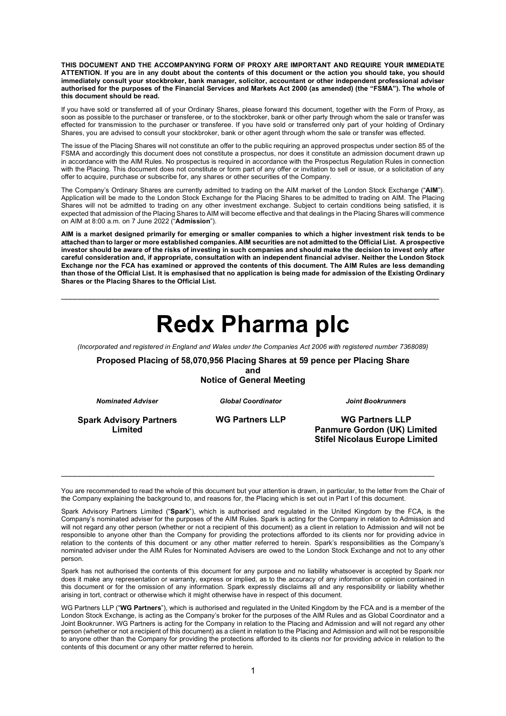**THIS DOCUMENT AND THE ACCOMPANYING FORM OF PROXY ARE IMPORTANT AND REQUIRE YOUR IMMEDIATE ATTENTION. If you are in any doubt about the contents of this document or the action you should take, you should immediately consult your stockbroker, bank manager, solicitor, accountant or other independent professional adviser authorised for the purposes of the Financial Services and Markets Act 2000 (as amended) (the "FSMA"). The whole of this document should be read.** 

If you have sold or transferred all of your Ordinary Shares, please forward this document, together with the Form of Proxy, as soon as possible to the purchaser or transferee, or to the stockbroker, bank or other party through whom the sale or transfer was effected for transmission to the purchaser or transferee. If you have sold or transferred only part of your holding of Ordinary Shares, you are advised to consult your stockbroker, bank or other agent through whom the sale or transfer was effected.

The issue of the Placing Shares will not constitute an offer to the public requiring an approved prospectus under section 85 of the FSMA and accordingly this document does not constitute a prospectus, nor does it constitute an admission document drawn up in accordance with the AIM Rules. No prospectus is required in accordance with the Prospectus Regulation Rules in connection with the Placing. This document does not constitute or form part of any offer or invitation to sell or issue, or a solicitation of any offer to acquire, purchase or subscribe for, any shares or other securities of the Company.

The Company's Ordinary Shares are currently admitted to trading on the AIM market of the London Stock Exchange ("**AIM**"). Application will be made to the London Stock Exchange for the Placing Shares to be admitted to trading on AIM. The Placing Shares will not be admitted to trading on any other investment exchange. Subject to certain conditions being satisfied, it is expected that admission of the Placing Shares to AIM will become effective and that dealings in the Placing Shares will commence on AIM at 8:00 a.m. on 7 June 2022 ("**Admission**").

**AIM is a market designed primarily for emerging or smaller companies to which a higher investment risk tends to be attached than to larger or more established companies. AIM securities are not admitted to the Official List. A prospective investor should be aware of the risks of investing in such companies and should make the decision to invest only after careful consideration and, if appropriate, consultation with an independent financial adviser. Neither the London Stock Exchange nor the FCA has examined or approved the contents of this document. The AIM Rules are less demanding than those of the Official List. It is emphasised that no application is being made for admission of the Existing Ordinary Shares or the Placing Shares to the Official List.**

# **Redx Pharma plc**

\_\_\_\_\_\_\_\_\_\_\_\_\_\_\_\_\_\_\_\_\_\_\_\_\_\_\_\_\_\_\_\_\_\_\_\_\_\_\_\_\_\_\_\_\_\_\_\_\_\_\_\_\_\_\_\_\_\_\_\_\_\_\_\_\_\_\_\_\_\_\_\_\_\_\_\_\_\_\_\_

*(Incorporated and registered in England and Wales under the Companies Act 2006 with registered number 7368089)*

**Proposed Placing of 58,070,956 Placing Shares at 59 pence per Placing Share**

**and Notice of General Meeting**

*Nominated Adviser*

*Global Coordinator*

*Joint Bookrunners*

**Spark Advisory Partners Limited**

**WG Partners LLP**

**WG Partners LLP Panmure Gordon (UK) Limited Stifel Nicolaus Europe Limited**

You are recommended to read the whole of this document but your attention is drawn, in particular, to the letter from the Chair of the Company explaining the background to, and reasons for, the Placing which is set out in Part I of this document.

\_\_\_\_\_\_\_\_\_\_\_\_\_\_\_\_\_\_\_\_\_\_\_\_\_\_\_\_\_\_\_\_\_\_\_\_\_\_\_\_\_\_\_\_\_\_\_\_\_\_\_\_\_\_\_\_\_\_\_\_\_\_\_\_\_\_\_\_\_\_\_\_\_\_\_\_\_\_\_

Spark Advisory Partners Limited ("**Spark**"), which is authorised and regulated in the United Kingdom by the FCA, is the Company's nominated adviser for the purposes of the AIM Rules. Spark is acting for the Company in relation to Admission and will not regard any other person (whether or not a recipient of this document) as a client in relation to Admission and will not be responsible to anyone other than the Company for providing the protections afforded to its clients nor for providing advice in relation to the contents of this document or any other matter referred to herein. Spark's responsibilities as the Company's nominated adviser under the AIM Rules for Nominated Advisers are owed to the London Stock Exchange and not to any other person.

Spark has not authorised the contents of this document for any purpose and no liability whatsoever is accepted by Spark nor does it make any representation or warranty, express or implied, as to the accuracy of any information or opinion contained in this document or for the omission of any information. Spark expressly disclaims all and any responsibility or liability whether arising in tort, contract or otherwise which it might otherwise have in respect of this document.

WG Partners LLP ("**WG Partners**"), which is authorised and regulated in the United Kingdom by the FCA and is a member of the London Stock Exchange, is acting as the Company's broker for the purposes of the AIM Rules and as Global Coordinator and a Joint Bookrunner. WG Partners is acting for the Company in relation to the Placing and Admission and will not regard any other person (whether or not a recipient of this document) as a client in relation to the Placing and Admission and will not be responsible to anyone other than the Company for providing the protections afforded to its clients nor for providing advice in relation to the contents of this document or any other matter referred to herein.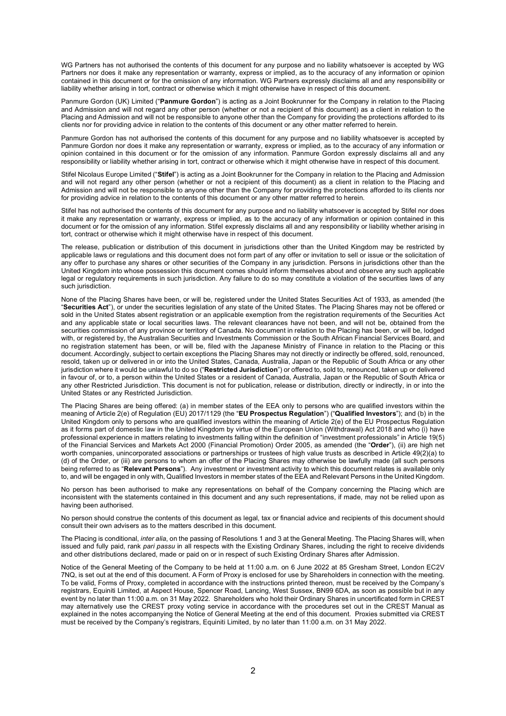WG Partners has not authorised the contents of this document for any purpose and no liability whatsoever is accepted by WG Partners nor does it make any representation or warranty, express or implied, as to the accuracy of any information or opinion contained in this document or for the omission of any information. WG Partners expressly disclaims all and any responsibility or liability whether arising in tort, contract or otherwise which it might otherwise have in respect of this document.

Panmure Gordon (UK) Limited ("**Panmure Gordon**") is acting as a Joint Bookrunner for the Company in relation to the Placing and Admission and will not regard any other person (whether or not a recipient of this document) as a client in relation to the Placing and Admission and will not be responsible to anyone other than the Company for providing the protections afforded to its clients nor for providing advice in relation to the contents of this document or any other matter referred to herein.

Panmure Gordon has not authorised the contents of this document for any purpose and no liability whatsoever is accepted by Panmure Gordon nor does it make any representation or warranty, express or implied, as to the accuracy of any information or opinion contained in this document or for the omission of any information. Panmure Gordon expressly disclaims all and any responsibility or liability whether arising in tort, contract or otherwise which it might otherwise have in respect of this document.

Stifel Nicolaus Europe Limited ("**Stifel**") is acting as a Joint Bookrunner for the Company in relation to the Placing and Admission and will not regard any other person (whether or not a recipient of this document) as a client in relation to the Placing and Admission and will not be responsible to anyone other than the Company for providing the protections afforded to its clients nor for providing advice in relation to the contents of this document or any other matter referred to herein.

Stifel has not authorised the contents of this document for any purpose and no liability whatsoever is accepted by Stifel nor does it make any representation or warranty, express or implied, as to the accuracy of any information or opinion contained in this document or for the omission of any information. Stifel expressly disclaims all and any responsibility or liability whether arising in tort, contract or otherwise which it might otherwise have in respect of this document.

The release, publication or distribution of this document in jurisdictions other than the United Kingdom may be restricted by applicable laws or regulations and this document does not form part of any offer or invitation to sell or issue or the solicitation of any offer to purchase any shares or other securities of the Company in any jurisdiction. Persons in jurisdictions other than the United Kingdom into whose possession this document comes should inform themselves about and observe any such applicable legal or regulatory requirements in such jurisdiction. Any failure to do so may constitute a violation of the securities laws of any such jurisdiction.

None of the Placing Shares have been, or will be, registered under the United States Securities Act of 1933, as amended (the "**Securities Act**"), or under the securities legislation of any state of the United States. The Placing Shares may not be offered or sold in the United States absent registration or an applicable exemption from the registration requirements of the Securities Act and any applicable state or local securities laws. The relevant clearances have not been, and will not be, obtained from the securities commission of any province or territory of Canada. No document in relation to the Placing has been, or will be, lodged with, or registered by, the Australian Securities and Investments Commission or the South African Financial Services Board, and no registration statement has been, or will be, filed with the Japanese Ministry of Finance in relation to the Placing or this document. Accordingly, subject to certain exceptions the Placing Shares may not directly or indirectly be offered, sold, renounced, resold, taken up or delivered in or into the United States, Canada, Australia, Japan or the Republic of South Africa or any other jurisdiction where it would be unlawful to do so ("**Restricted Jurisdiction**") or offered to, sold to, renounced, taken up or delivered in favour of, or to, a person within the United States or a resident of Canada, Australia, Japan or the Republic of South Africa or any other Restricted Jurisdiction. This document is not for publication, release or distribution, directly or indirectly, in or into the United States or any Restricted Jurisdiction.

The Placing Shares are being offered: (a) in member states of the EEA only to persons who are qualified investors within the meaning of Article 2(e) of Regulation (EU) 2017/1129 (the "**EU Prospectus Regulation**") ("**Qualified Investors**"); and (b) in the United Kingdom only to persons who are qualified investors within the meaning of Article 2(e) of the EU Prospectus Regulation as it forms part of domestic law in the United Kingdom by virtue of the European Union (Withdrawal) Act 2018 and who (i) have professional experience in matters relating to investments falling within the definition of "investment professionals" in Article 19(5) of the Financial Services and Markets Act 2000 (Financial Promotion) Order 2005, as amended (the "**Order**"), (ii) are high net worth companies, unincorporated associations or partnerships or trustees of high value trusts as described in Article 49(2)(a) to (d) of the Order, or (iii) are persons to whom an offer of the Placing Shares may otherwise be lawfully made (all such persons being referred to as "**Relevant Persons**"). Any investment or investment activity to which this document relates is available only to, and will be engaged in only with, Qualified Investors in member states of the EEA and Relevant Persons in the United Kingdom.

No person has been authorised to make any representations on behalf of the Company concerning the Placing which are inconsistent with the statements contained in this document and any such representations, if made, may not be relied upon as having been authorised.

No person should construe the contents of this document as legal, tax or financial advice and recipients of this document should consult their own advisers as to the matters described in this document.

The Placing is conditional, *inter alia*, on the passing of Resolutions 1 and 3 at the General Meeting. The Placing Shares will, when issued and fully paid, rank *pari passu* in all respects with the Existing Ordinary Shares, including the right to receive dividends and other distributions declared, made or paid on or in respect of such Existing Ordinary Shares after Admission.

Notice of the General Meeting of the Company to be held at 11:00 a.m. on 6 June 2022 at 85 Gresham Street, London EC2V 7NQ, is set out at the end of this document. A Form of Proxy is enclosed for use by Shareholders in connection with the meeting. To be valid, Forms of Proxy, completed in accordance with the instructions printed thereon, must be received by the Company's registrars, Equiniti Limited, at Aspect House, Spencer Road, Lancing, West Sussex, BN99 6DA, as soon as possible but in any event by no later than 11:00 a.m. on 31 May 2022. Shareholders who hold their Ordinary Shares in uncertificated form in CREST may alternatively use the CREST proxy voting service in accordance with the procedures set out in the CREST Manual as explained in the notes accompanying the Notice of General Meeting at the end of this document. Proxies submitted via CREST must be received by the Company's registrars, Equiniti Limited, by no later than 11:00 a.m. on 31 May 2022.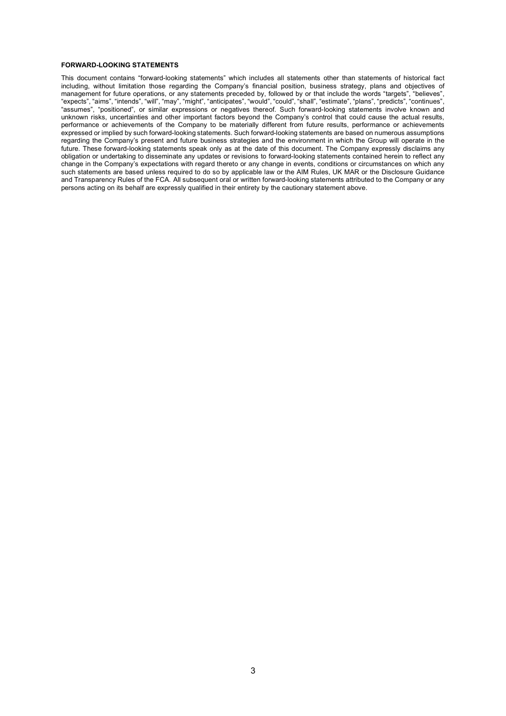#### **FORWARD-LOOKING STATEMENTS**

This document contains "forward-looking statements" which includes all statements other than statements of historical fact including, without limitation those regarding the Company's financial position, business strategy, plans and objectives of management for future operations, or any statements preceded by, followed by or that include the words "targets", "believes", "expects", "aims", "intends", "will", "may", "might", "anticipates", "would", "could", "shall", "estimate", "plans", "predicts", "continues", "assumes", "positioned", or similar expressions or negatives thereof. Such forward-looking statements involve known and unknown risks, uncertainties and other important factors beyond the Company's control that could cause the actual results, performance or achievements of the Company to be materially different from future results, performance or achievements expressed or implied by such forward-looking statements. Such forward-looking statements are based on numerous assumptions regarding the Company's present and future business strategies and the environment in which the Group will operate in the future. These forward-looking statements speak only as at the date of this document. The Company expressly disclaims any obligation or undertaking to disseminate any updates or revisions to forward-looking statements contained herein to reflect any change in the Company's expectations with regard thereto or any change in events, conditions or circumstances on which any such statements are based unless required to do so by applicable law or the AIM Rules, UK MAR or the Disclosure Guidance and Transparency Rules of the FCA. All subsequent oral or written forward-looking statements attributed to the Company or any persons acting on its behalf are expressly qualified in their entirety by the cautionary statement above.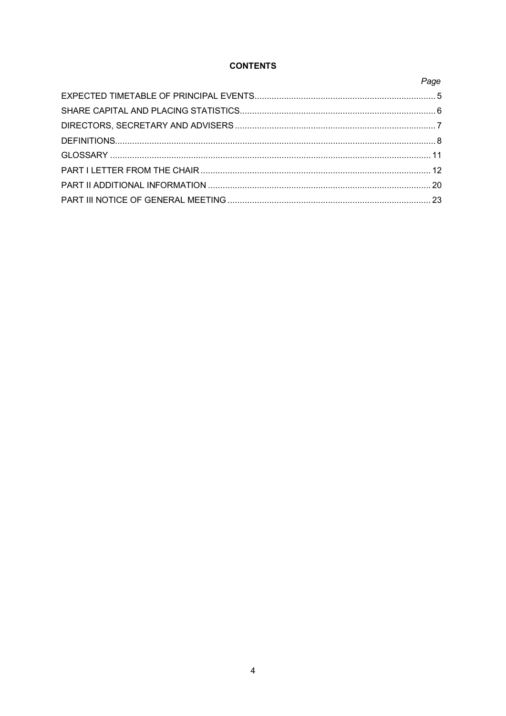### **CONTENTS**

Page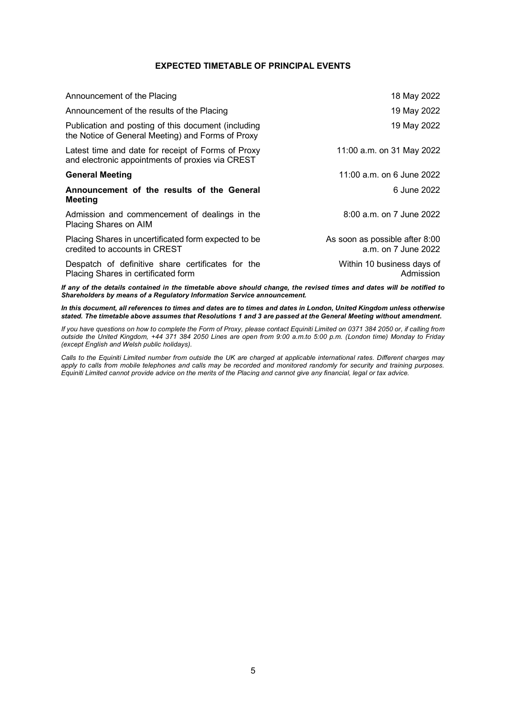#### **EXPECTED TIMETABLE OF PRINCIPAL EVENTS**

<span id="page-4-0"></span>

| Announcement of the Placing                                                                              | 18 May 2022                                           |
|----------------------------------------------------------------------------------------------------------|-------------------------------------------------------|
| Announcement of the results of the Placing                                                               | 19 May 2022                                           |
| Publication and posting of this document (including<br>the Notice of General Meeting) and Forms of Proxy | 19 May 2022                                           |
| Latest time and date for receipt of Forms of Proxy<br>and electronic appointments of proxies via CREST   | 11:00 a.m. on 31 May 2022                             |
| <b>General Meeting</b>                                                                                   | 11:00 a.m. on 6 June 2022                             |
| Announcement of the results of the General<br>Meeting                                                    | 6 June 2022                                           |
| Admission and commencement of dealings in the<br>Placing Shares on AIM                                   | 8:00 a.m. on 7 June 2022                              |
| Placing Shares in uncertificated form expected to be<br>credited to accounts in CREST                    | As soon as possible after 8:00<br>a.m. on 7 June 2022 |
| Despatch of definitive share certificates for the<br>Placing Shares in certificated form                 | Within 10 business days of<br>Admission               |

*If any of the details contained in the timetable above should change, the revised times and dates will be notified to Shareholders by means of a Regulatory Information Service announcement.*

*In this document, all references to times and dates are to times and dates in London, United Kingdom unless otherwise stated. The timetable above assumes that Resolutions 1 and 3 are passed at the General Meeting without amendment.*

*If you have questions on how to complete the Form of Proxy, please contact Equiniti Limited on 0371 384 2050 or, if calling from outside the United Kingdom, +44 371 384 2050 Lines are open from 9:00 a.m.to 5:00 p.m. (London time) Monday to Friday (except English and Welsh public holidays).*

*Calls to the Equiniti Limited number from outside the UK are charged at applicable international rates. Different charges may apply to calls from mobile telephones and calls may be recorded and monitored randomly for security and training purposes. Equiniti Limited cannot provide advice on the merits of the Placing and cannot give any financial, legal or tax advice.*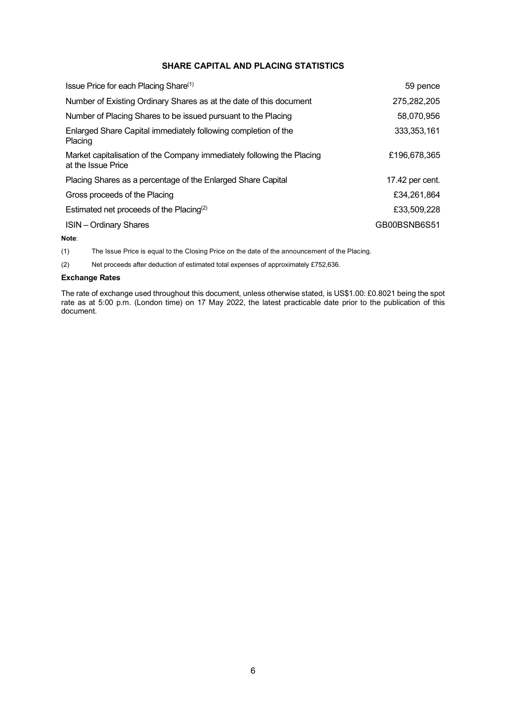#### **SHARE CAPITAL AND PLACING STATISTICS**

<span id="page-5-0"></span>

| Issue Price for each Placing Share <sup>(1)</sup>                                            | 59 pence        |
|----------------------------------------------------------------------------------------------|-----------------|
| Number of Existing Ordinary Shares as at the date of this document                           | 275,282,205     |
| Number of Placing Shares to be issued pursuant to the Placing                                | 58,070,956      |
| Enlarged Share Capital immediately following completion of the<br>Placing                    | 333, 353, 161   |
| Market capitalisation of the Company immediately following the Placing<br>at the Issue Price | £196,678,365    |
| Placing Shares as a percentage of the Enlarged Share Capital                                 | 17.42 per cent. |
| Gross proceeds of the Placing                                                                | £34.261.864     |
| Estimated net proceeds of the Placing <sup>(2)</sup>                                         | £33,509,228     |
| <b>ISIN</b> – Ordinary Shares                                                                | GB00BSNB6S51    |

**Note**:

(1) The Issue Price is equal to the Closing Price on the date of the announcement of the Placing.

(2) Net proceeds after deduction of estimated total expenses of approximately £752,636.

#### **Exchange Rates**

The rate of exchange used throughout this document, unless otherwise stated, is US\$1.00: £0.8021 being the spot rate as at 5:00 p.m. (London time) on 17 May 2022, the latest practicable date prior to the publication of this document.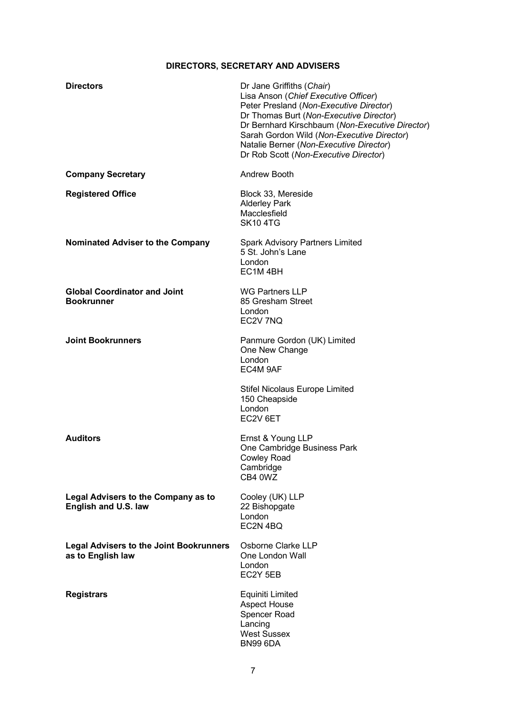## **DIRECTORS, SECRETARY AND ADVISERS**

<span id="page-6-0"></span>

| <b>Directors</b>                                                    | Dr Jane Griffiths (Chair)<br>Lisa Anson (Chief Executive Officer)<br>Peter Presland (Non-Executive Director)<br>Dr Thomas Burt (Non-Executive Director)<br>Dr Bernhard Kirschbaum (Non-Executive Director)<br>Sarah Gordon Wild (Non-Executive Director)<br>Natalie Berner (Non-Executive Director)<br>Dr Rob Scott (Non-Executive Director) |
|---------------------------------------------------------------------|----------------------------------------------------------------------------------------------------------------------------------------------------------------------------------------------------------------------------------------------------------------------------------------------------------------------------------------------|
| <b>Company Secretary</b>                                            | Andrew Booth                                                                                                                                                                                                                                                                                                                                 |
| <b>Registered Office</b>                                            | Block 33, Mereside<br><b>Alderley Park</b><br>Macclesfield<br><b>SK104TG</b>                                                                                                                                                                                                                                                                 |
| Nominated Adviser to the Company                                    | <b>Spark Advisory Partners Limited</b><br>5 St. John's Lane<br>London<br>EC <sub>1</sub> M <sub>4BH</sub>                                                                                                                                                                                                                                    |
| <b>Global Coordinator and Joint</b><br><b>Bookrunner</b>            | <b>WG Partners LLP</b><br>85 Gresham Street<br>London<br>EC2V 7NQ                                                                                                                                                                                                                                                                            |
| <b>Joint Bookrunners</b>                                            | Panmure Gordon (UK) Limited<br>One New Change<br>London<br>EC4M 9AF                                                                                                                                                                                                                                                                          |
|                                                                     | <b>Stifel Nicolaus Europe Limited</b><br>150 Cheapside<br>London<br>EC2V 6ET                                                                                                                                                                                                                                                                 |
| <b>Auditors</b>                                                     | Ernst & Young LLP<br>One Cambridge Business Park<br>Cowley Road<br>Cambridge<br>CB4 0WZ                                                                                                                                                                                                                                                      |
| <b>Legal Advisers to the Company as to</b><br>English and U.S. law  | Cooley (UK) LLP<br>22 Bishopgate<br>London<br>EC2N 4BQ                                                                                                                                                                                                                                                                                       |
| <b>Legal Advisers to the Joint Bookrunners</b><br>as to English law | Osborne Clarke LLP<br>One London Wall<br>London<br>EC2Y 5EB                                                                                                                                                                                                                                                                                  |
| <b>Registrars</b>                                                   | Equiniti Limited<br><b>Aspect House</b><br>Spencer Road<br>Lancing<br><b>West Sussex</b><br><b>BN99 6DA</b>                                                                                                                                                                                                                                  |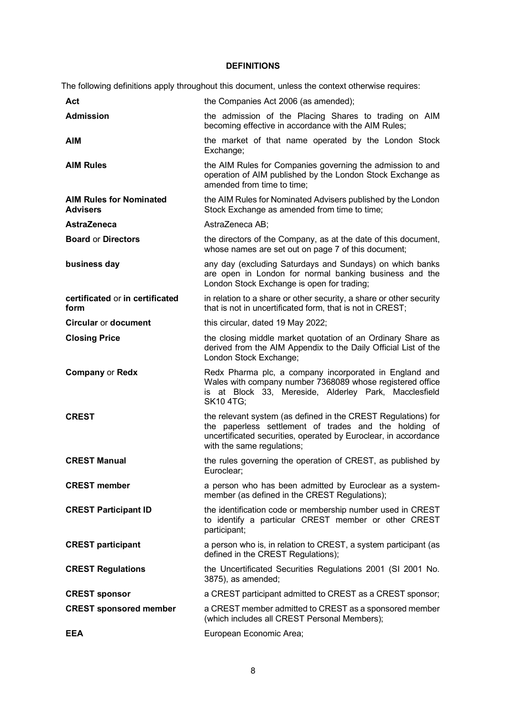#### **DEFINITIONS**

<span id="page-7-0"></span>The following definitions apply throughout this document, unless the context otherwise requires:

| Act                                               | the Companies Act 2006 (as amended);                                                                                                                                                                                    |
|---------------------------------------------------|-------------------------------------------------------------------------------------------------------------------------------------------------------------------------------------------------------------------------|
| <b>Admission</b>                                  | the admission of the Placing Shares to trading on AIM<br>becoming effective in accordance with the AIM Rules;                                                                                                           |
| <b>AIM</b>                                        | the market of that name operated by the London Stock<br>Exchange;                                                                                                                                                       |
| <b>AIM Rules</b>                                  | the AIM Rules for Companies governing the admission to and<br>operation of AIM published by the London Stock Exchange as<br>amended from time to time;                                                                  |
| <b>AIM Rules for Nominated</b><br><b>Advisers</b> | the AIM Rules for Nominated Advisers published by the London<br>Stock Exchange as amended from time to time;                                                                                                            |
| <b>AstraZeneca</b>                                | AstraZeneca AB;                                                                                                                                                                                                         |
| <b>Board or Directors</b>                         | the directors of the Company, as at the date of this document,<br>whose names are set out on page 7 of this document;                                                                                                   |
| business day                                      | any day (excluding Saturdays and Sundays) on which banks<br>are open in London for normal banking business and the<br>London Stock Exchange is open for trading;                                                        |
| certificated or in certificated<br>form           | in relation to a share or other security, a share or other security<br>that is not in uncertificated form, that is not in CREST;                                                                                        |
| <b>Circular or document</b>                       | this circular, dated 19 May 2022;                                                                                                                                                                                       |
| <b>Closing Price</b>                              | the closing middle market quotation of an Ordinary Share as<br>derived from the AIM Appendix to the Daily Official List of the<br>London Stock Exchange;                                                                |
|                                                   |                                                                                                                                                                                                                         |
| <b>Company or Redx</b>                            | Redx Pharma plc, a company incorporated in England and<br>Wales with company number 7368089 whose registered office<br>is at Block 33, Mereside, Alderley Park, Macclesfield<br><b>SK10 4TG:</b>                        |
| <b>CREST</b>                                      | the relevant system (as defined in the CREST Regulations) for<br>the paperless settlement of trades and the holding of<br>uncertificated securities, operated by Euroclear, in accordance<br>with the same regulations; |
| <b>CREST Manual</b>                               | the rules governing the operation of CREST, as published by<br>Euroclear;                                                                                                                                               |
| <b>CREST member</b>                               | a person who has been admitted by Euroclear as a system-<br>member (as defined in the CREST Regulations);                                                                                                               |
| <b>CREST Participant ID</b>                       | the identification code or membership number used in CREST<br>to identify a particular CREST member or other CREST<br>participant;                                                                                      |
| <b>CREST participant</b>                          | a person who is, in relation to CREST, a system participant (as<br>defined in the CREST Regulations);                                                                                                                   |
| <b>CREST Regulations</b>                          | the Uncertificated Securities Regulations 2001 (SI 2001 No.<br>3875), as amended;                                                                                                                                       |
| <b>CREST sponsor</b>                              | a CREST participant admitted to CREST as a CREST sponsor;                                                                                                                                                               |
| <b>CREST sponsored member</b>                     | a CREST member admitted to CREST as a sponsored member<br>(which includes all CREST Personal Members);                                                                                                                  |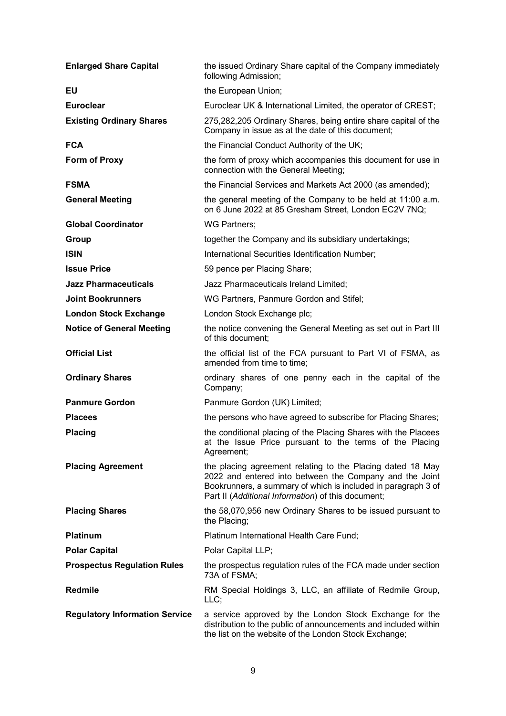| <b>Enlarged Share Capital</b>         | the issued Ordinary Share capital of the Company immediately<br>following Admission;                                                                                                                                                         |
|---------------------------------------|----------------------------------------------------------------------------------------------------------------------------------------------------------------------------------------------------------------------------------------------|
| EU                                    | the European Union;                                                                                                                                                                                                                          |
| <b>Euroclear</b>                      | Euroclear UK & International Limited, the operator of CREST;                                                                                                                                                                                 |
| <b>Existing Ordinary Shares</b>       | 275,282,205 Ordinary Shares, being entire share capital of the<br>Company in issue as at the date of this document;                                                                                                                          |
| <b>FCA</b>                            | the Financial Conduct Authority of the UK;                                                                                                                                                                                                   |
| Form of Proxy                         | the form of proxy which accompanies this document for use in<br>connection with the General Meeting;                                                                                                                                         |
| <b>FSMA</b>                           | the Financial Services and Markets Act 2000 (as amended);                                                                                                                                                                                    |
| <b>General Meeting</b>                | the general meeting of the Company to be held at 11:00 a.m.<br>on 6 June 2022 at 85 Gresham Street, London EC2V 7NQ;                                                                                                                         |
| <b>Global Coordinator</b>             | WG Partners;                                                                                                                                                                                                                                 |
| Group                                 | together the Company and its subsidiary undertakings;                                                                                                                                                                                        |
| <b>ISIN</b>                           | International Securities Identification Number;                                                                                                                                                                                              |
| <b>Issue Price</b>                    | 59 pence per Placing Share;                                                                                                                                                                                                                  |
| <b>Jazz Pharmaceuticals</b>           | Jazz Pharmaceuticals Ireland Limited;                                                                                                                                                                                                        |
| <b>Joint Bookrunners</b>              | WG Partners, Panmure Gordon and Stifel;                                                                                                                                                                                                      |
| <b>London Stock Exchange</b>          | London Stock Exchange plc;                                                                                                                                                                                                                   |
| <b>Notice of General Meeting</b>      | the notice convening the General Meeting as set out in Part III<br>of this document;                                                                                                                                                         |
| <b>Official List</b>                  | the official list of the FCA pursuant to Part VI of FSMA, as<br>amended from time to time;                                                                                                                                                   |
| <b>Ordinary Shares</b>                | ordinary shares of one penny each in the capital of the<br>Company;                                                                                                                                                                          |
| <b>Panmure Gordon</b>                 | Panmure Gordon (UK) Limited;                                                                                                                                                                                                                 |
| <b>Placees</b>                        | the persons who have agreed to subscribe for Placing Shares;                                                                                                                                                                                 |
| <b>Placing</b>                        | the conditional placing of the Placing Shares with the Placees<br>at the Issue Price pursuant to the terms of the Placing<br>Agreement;                                                                                                      |
| <b>Placing Agreement</b>              | the placing agreement relating to the Placing dated 18 May<br>2022 and entered into between the Company and the Joint<br>Bookrunners, a summary of which is included in paragraph 3 of<br>Part II (Additional Information) of this document; |
| <b>Placing Shares</b>                 | the 58,070,956 new Ordinary Shares to be issued pursuant to<br>the Placing;                                                                                                                                                                  |
| <b>Platinum</b>                       | Platinum International Health Care Fund;                                                                                                                                                                                                     |
| <b>Polar Capital</b>                  | Polar Capital LLP;                                                                                                                                                                                                                           |
| <b>Prospectus Regulation Rules</b>    | the prospectus regulation rules of the FCA made under section<br>73A of FSMA;                                                                                                                                                                |
| Redmile                               | RM Special Holdings 3, LLC, an affiliate of Redmile Group,<br>LLC;                                                                                                                                                                           |
| <b>Regulatory Information Service</b> | a service approved by the London Stock Exchange for the<br>distribution to the public of announcements and included within<br>the list on the website of the London Stock Exchange;                                                          |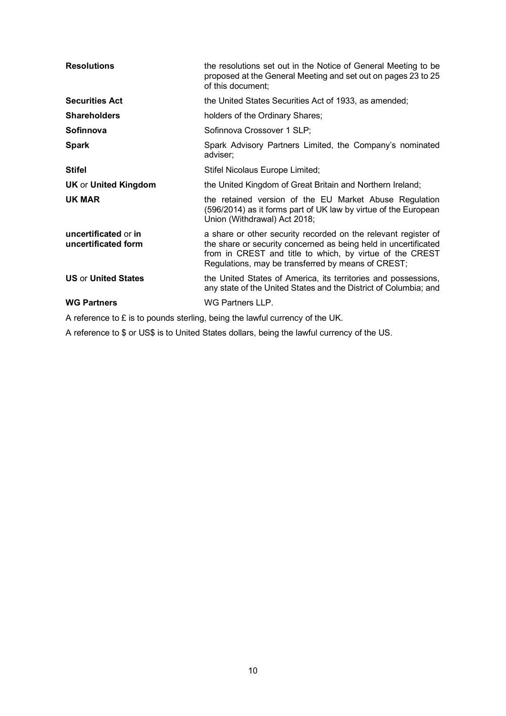| <b>Resolutions</b>                          | the resolutions set out in the Notice of General Meeting to be<br>proposed at the General Meeting and set out on pages 23 to 25<br>of this document;                                                                                                |
|---------------------------------------------|-----------------------------------------------------------------------------------------------------------------------------------------------------------------------------------------------------------------------------------------------------|
| <b>Securities Act</b>                       | the United States Securities Act of 1933, as amended;                                                                                                                                                                                               |
| <b>Shareholders</b>                         | holders of the Ordinary Shares;                                                                                                                                                                                                                     |
| Sofinnova                                   | Sofinnova Crossover 1 SLP;                                                                                                                                                                                                                          |
| <b>Spark</b>                                | Spark Advisory Partners Limited, the Company's nominated<br>adviser;                                                                                                                                                                                |
| <b>Stifel</b>                               | Stifel Nicolaus Europe Limited;                                                                                                                                                                                                                     |
| <b>UK or United Kingdom</b>                 | the United Kingdom of Great Britain and Northern Ireland;                                                                                                                                                                                           |
| UK MAR                                      | the retained version of the EU Market Abuse Regulation<br>(596/2014) as it forms part of UK law by virtue of the European<br>Union (Withdrawal) Act 2018;                                                                                           |
| uncertificated or in<br>uncertificated form | a share or other security recorded on the relevant register of<br>the share or security concerned as being held in uncertificated<br>from in CREST and title to which, by virtue of the CREST<br>Regulations, may be transferred by means of CREST; |
| <b>US or United States</b>                  | the United States of America, its territories and possessions,<br>any state of the United States and the District of Columbia; and                                                                                                                  |
| <b>WG Partners</b>                          | WG Partners LLP.                                                                                                                                                                                                                                    |

A reference to £ is to pounds sterling, being the lawful currency of the UK.

A reference to \$ or US\$ is to United States dollars, being the lawful currency of the US.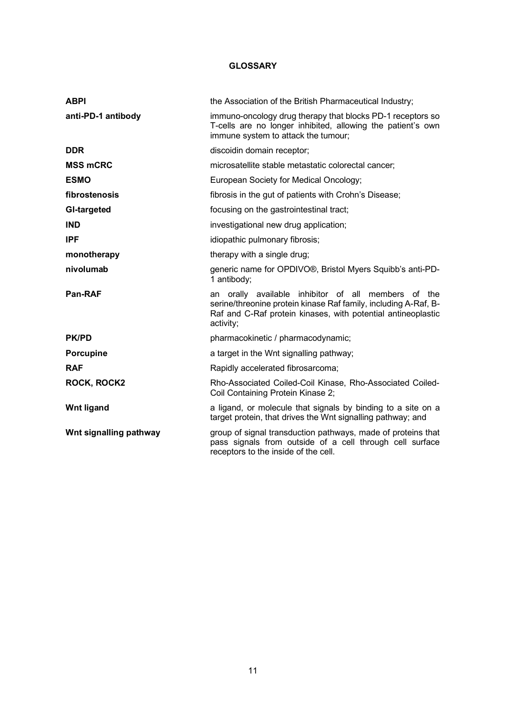#### **GLOSSARY**

<span id="page-10-0"></span>

| <b>ABPI</b>            | the Association of the British Pharmaceutical Industry;                                                                                                                                             |
|------------------------|-----------------------------------------------------------------------------------------------------------------------------------------------------------------------------------------------------|
| anti-PD-1 antibody     | immuno-oncology drug therapy that blocks PD-1 receptors so<br>T-cells are no longer inhibited, allowing the patient's own<br>immune system to attack the tumour;                                    |
| <b>DDR</b>             | discoidin domain receptor;                                                                                                                                                                          |
| <b>MSS mCRC</b>        | microsatellite stable metastatic colorectal cancer;                                                                                                                                                 |
| <b>ESMO</b>            | European Society for Medical Oncology;                                                                                                                                                              |
| fibrostenosis          | fibrosis in the gut of patients with Crohn's Disease;                                                                                                                                               |
| GI-targeted            | focusing on the gastrointestinal tract;                                                                                                                                                             |
| <b>IND</b>             | investigational new drug application;                                                                                                                                                               |
| <b>IPF</b>             | idiopathic pulmonary fibrosis;                                                                                                                                                                      |
| monotherapy            | therapy with a single drug;                                                                                                                                                                         |
| nivolumab              | generic name for OPDIVO®, Bristol Myers Squibb's anti-PD-<br>1 antibody;                                                                                                                            |
| <b>Pan-RAF</b>         | an orally available inhibitor of all members of the<br>serine/threonine protein kinase Raf family, including A-Raf, B-<br>Raf and C-Raf protein kinases, with potential antineoplastic<br>activity; |
| <b>PK/PD</b>           | pharmacokinetic / pharmacodynamic;                                                                                                                                                                  |
| <b>Porcupine</b>       | a target in the Wnt signalling pathway;                                                                                                                                                             |
| <b>RAF</b>             | Rapidly accelerated fibrosarcoma;                                                                                                                                                                   |
| <b>ROCK, ROCK2</b>     | Rho-Associated Coiled-Coil Kinase, Rho-Associated Coiled-<br>Coil Containing Protein Kinase 2;                                                                                                      |
| <b>Wnt ligand</b>      | a ligand, or molecule that signals by binding to a site on a<br>target protein, that drives the Wnt signalling pathway; and                                                                         |
| Wnt signalling pathway | group of signal transduction pathways, made of proteins that<br>pass signals from outside of a cell through cell surface<br>receptors to the inside of the cell.                                    |
|                        |                                                                                                                                                                                                     |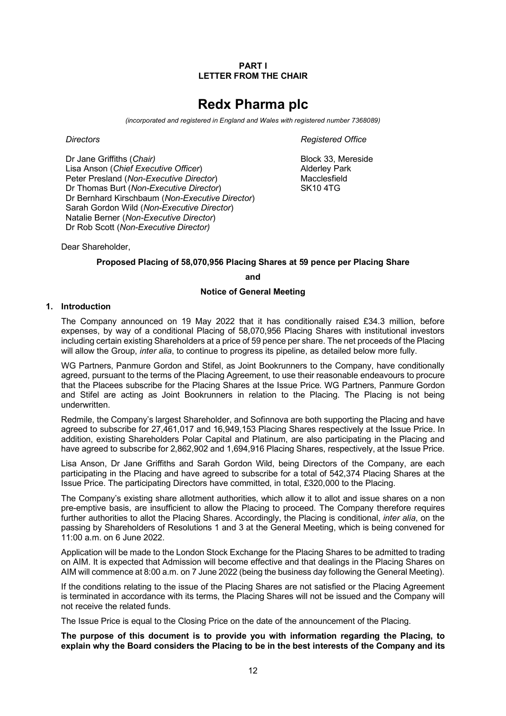#### **PART I LETTER FROM THE CHAIR**

# **Redx Pharma plc**

*(incorporated and registered in England and Wales with registered number 7368089)*

Dr Jane Griffiths (*Chair*) **Block 33, Mereside Block 33, Mereside** Lisa Anson (*Chief Executive Officer*) Peter Presland (*Non-Executive Director*) Dr Thomas Burt (*Non-Executive Director*) Dr Bernhard Kirschbaum (*Non-Executive Director*) Sarah Gordon Wild (*Non-Executive Director*) Natalie Berner (*Non-Executive Director*) Dr Rob Scott (*Non-Executive Director)*

<span id="page-11-0"></span>*Directors Registered Office*

Alderley Park Macclesfield SK10 4TG

Dear Shareholder,

#### **Proposed Placing of 58,070,956 Placing Shares at 59 pence per Placing Share**

**and**

#### **Notice of General Meeting**

#### **1. Introduction**

The Company announced on 19 May 2022 that it has conditionally raised £34.3 million, before expenses, by way of a conditional Placing of 58,070,956 Placing Shares with institutional investors including certain existing Shareholders at a price of 59 pence per share. The net proceeds of the Placing will allow the Group, *inter alia*, to continue to progress its pipeline, as detailed below more fully.

WG Partners, Panmure Gordon and Stifel, as Joint Bookrunners to the Company, have conditionally agreed, pursuant to the terms of the Placing Agreement, to use their reasonable endeavours to procure that the Placees subscribe for the Placing Shares at the Issue Price. WG Partners, Panmure Gordon and Stifel are acting as Joint Bookrunners in relation to the Placing. The Placing is not being underwritten.

Redmile, the Company's largest Shareholder, and Sofinnova are both supporting the Placing and have agreed to subscribe for 27,461,017 and 16,949,153 Placing Shares respectively at the Issue Price. In addition, existing Shareholders Polar Capital and Platinum, are also participating in the Placing and have agreed to subscribe for 2,862,902 and 1,694,916 Placing Shares, respectively, at the Issue Price.

Lisa Anson, Dr Jane Griffiths and Sarah Gordon Wild, being Directors of the Company, are each participating in the Placing and have agreed to subscribe for a total of 542,374 Placing Shares at the Issue Price. The participating Directors have committed, in total, £320,000 to the Placing.

The Company's existing share allotment authorities, which allow it to allot and issue shares on a non pre-emptive basis, are insufficient to allow the Placing to proceed. The Company therefore requires further authorities to allot the Placing Shares. Accordingly, the Placing is conditional, *inter alia*, on the passing by Shareholders of Resolutions 1 and 3 at the General Meeting, which is being convened for 11:00 a.m. on 6 June 2022.

Application will be made to the London Stock Exchange for the Placing Shares to be admitted to trading on AIM. It is expected that Admission will become effective and that dealings in the Placing Shares on AIM will commence at 8:00 a.m. on 7 June 2022 (being the business day following the General Meeting).

If the conditions relating to the issue of the Placing Shares are not satisfied or the Placing Agreement is terminated in accordance with its terms, the Placing Shares will not be issued and the Company will not receive the related funds.

The Issue Price is equal to the Closing Price on the date of the announcement of the Placing.

**The purpose of this document is to provide you with information regarding the Placing, to explain why the Board considers the Placing to be in the best interests of the Company and its**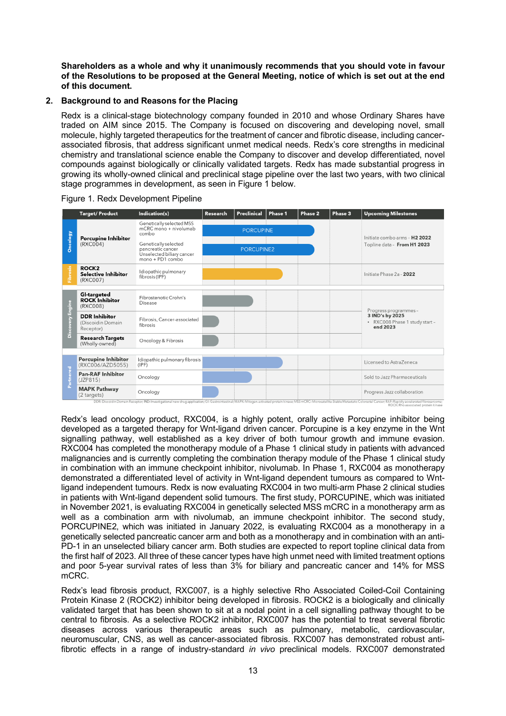**Shareholders as a whole and why it unanimously recommends that you should vote in favour of the Resolutions to be proposed at the General Meeting, notice of which is set out at the end of this document.**

#### **2. Background to and Reasons for the Placing**

Redx is a clinical-stage biotechnology company founded in 2010 and whose Ordinary Shares have traded on AIM since 2015. The Company is focused on discovering and developing novel, small molecule, highly targeted therapeutics for the treatment of cancer and fibrotic disease, including cancerassociated fibrosis, that address significant unmet medical needs. Redx's core strengths in medicinal chemistry and translational science enable the Company to discover and develop differentiated, novel compounds against biologically or clinically validated targets. Redx has made substantial progress in growing its wholly-owned clinical and preclinical stage pipeline over the last two years, with two clinical stage programmes in development, as seen in Figure 1 below.

|                     | <b>Target/Product</b>                                                                                                                                                                           | Indication(s)                           | Research         | Preclinical | Phase 1 | Phase 2 | Phase 3                                   | <b>Upcoming Milestones</b>                                                                                                                                                                                                                                            |  |
|---------------------|-------------------------------------------------------------------------------------------------------------------------------------------------------------------------------------------------|-----------------------------------------|------------------|-------------|---------|---------|-------------------------------------------|-----------------------------------------------------------------------------------------------------------------------------------------------------------------------------------------------------------------------------------------------------------------------|--|
| Oncology            | Genetically selected MSS<br>$mCRC$ mono $+$ nivolumab<br>combo<br>Porcupine Inhibitor<br>(RXC004)<br>Genetically selected<br>pancreatic cancer<br>Unselected biliary cancer<br>mono + PD1 combo |                                         | <b>PORCUPINE</b> |             |         |         | Initiate combo arms - H <sub>2</sub> 2022 |                                                                                                                                                                                                                                                                       |  |
|                     |                                                                                                                                                                                                 |                                         |                  | PORCUPINE2  |         |         |                                           | Topline data - From H1 2023                                                                                                                                                                                                                                           |  |
| Fibrosis            | <b>ROCK2</b><br><b>Selective Inhibitor</b><br>(RXC007)                                                                                                                                          | Idiopathic pulmonary<br>fibrosis (IPF)  |                  |             |         |         |                                           | Initiate Phase 2a - 2022                                                                                                                                                                                                                                              |  |
| Engine<br>Discovery | GI-targeted<br><b>ROCK Inhibitor</b><br>(RXC008)                                                                                                                                                | Fibrostenotic Crohn's<br>Disease        |                  |             |         |         |                                           |                                                                                                                                                                                                                                                                       |  |
|                     | <b>DDR Inhibitor</b><br>(Discoidin Domain<br>Receptor)                                                                                                                                          | Fibrosis, Cancer-associated<br>fibrosis |                  |             |         |         |                                           | Progress programmes -<br>3 IND's by 2025<br>· RXC008 Phase 1 study start -<br>end 2023                                                                                                                                                                                |  |
|                     | <b>Research Targets</b><br>(Wholly-owned)                                                                                                                                                       | Oncology & Fibrosis                     |                  |             |         |         |                                           |                                                                                                                                                                                                                                                                       |  |
|                     |                                                                                                                                                                                                 |                                         |                  |             |         |         |                                           |                                                                                                                                                                                                                                                                       |  |
|                     | Porcupine Inhibitor<br>(RXC006/AZD5055)                                                                                                                                                         | Idiopathic pulmonary fibrosis<br>(IPF)  |                  |             |         |         |                                           | Licensed to AstraZeneca                                                                                                                                                                                                                                               |  |
| Partnered           | <b>Pan-RAF Inhibitor</b><br>(JZP815)                                                                                                                                                            | Oncology                                |                  |             |         |         |                                           | Sold to Jazz Pharmaceuticals                                                                                                                                                                                                                                          |  |
|                     | <b>MAPK Pathway</b><br>(2 targets)                                                                                                                                                              | Oncology                                |                  |             |         |         |                                           | Progress Jazz collaboration                                                                                                                                                                                                                                           |  |
|                     |                                                                                                                                                                                                 |                                         |                  |             |         |         |                                           | DDR: Discoidin Domain Receptor; IND: Investigational new drug application; GI: Gastrointestinal; MAPK: Mitogen-activated protein kinase; MSS mCRC: Microsatellite-Stable Metastatic Colorectal Cancer; RAF: Rapidly accelerate<br>ROCK: Rho associated protein kinase |  |

Figure 1. Redx Development Pipeline

Redx's lead oncology product, RXC004, is a highly potent, orally active Porcupine inhibitor being developed as a targeted therapy for Wnt-ligand driven cancer. Porcupine is a key enzyme in the Wnt signalling pathway, well established as a key driver of both tumour growth and immune evasion. RXC004 has completed the monotherapy module of a Phase 1 clinical study in patients with advanced malignancies and is currently completing the combination therapy module of the Phase 1 clinical study in combination with an immune checkpoint inhibitor, nivolumab. In Phase 1, RXC004 as monotherapy demonstrated a differentiated level of activity in Wnt-ligand dependent tumours as compared to Wntligand independent tumours. Redx is now evaluating RXC004 in two multi-arm Phase 2 clinical studies in patients with Wnt-ligand dependent solid tumours. The first study, PORCUPINE, which was initiated in November 2021, is evaluating RXC004 in genetically selected MSS mCRC in a monotherapy arm as well as a combination arm with nivolumab, an immune checkpoint inhibitor. The second study, PORCUPINE2, which was initiated in January 2022, is evaluating RXC004 as a monotherapy in a genetically selected pancreatic cancer arm and both as a monotherapy and in combination with an anti-PD-1 in an unselected biliary cancer arm. Both studies are expected to report topline clinical data from the first half of 2023. All three of these cancer types have high unmet need with limited treatment options and poor 5-year survival rates of less than 3% for biliary and pancreatic cancer and 14% for MSS mCRC.

Redx's lead fibrosis product, RXC007, is a highly selective Rho Associated Coiled-Coil Containing Protein Kinase 2 (ROCK2) inhibitor being developed in fibrosis. ROCK2 is a biologically and clinically validated target that has been shown to sit at a nodal point in a cell signalling pathway thought to be central to fibrosis. As a selective ROCK2 inhibitor, RXC007 has the potential to treat several fibrotic diseases across various therapeutic areas such as pulmonary, metabolic, cardiovascular, neuromuscular, CNS, as well as cancer-associated fibrosis. RXC007 has demonstrated robust antifibrotic effects in a range of industry-standard *in vivo* preclinical models. RXC007 demonstrated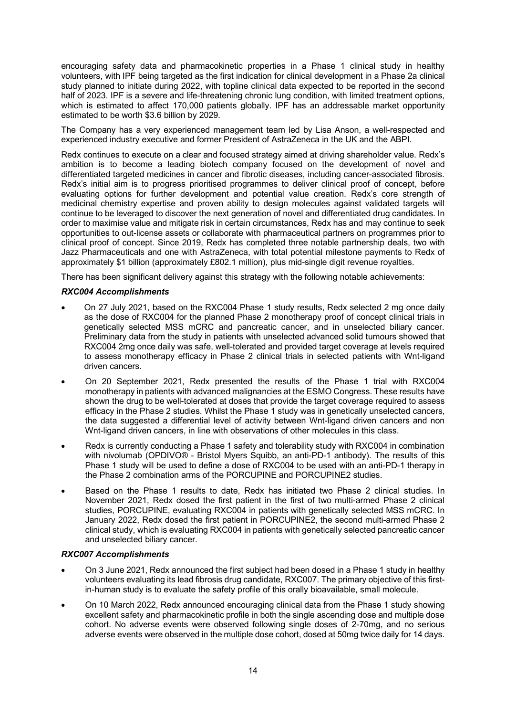encouraging safety data and pharmacokinetic properties in a Phase 1 clinical study in healthy volunteers, with IPF being targeted as the first indication for clinical development in a Phase 2a clinical study planned to initiate during 2022, with topline clinical data expected to be reported in the second half of 2023. IPF is a severe and life-threatening chronic lung condition, with limited treatment options, which is estimated to affect 170,000 patients globally. IPF has an addressable market opportunity estimated to be worth \$3.6 billion by 2029.

The Company has a very experienced management team led by Lisa Anson, a well-respected and experienced industry executive and former President of AstraZeneca in the UK and the ABPI.

Redx continues to execute on a clear and focused strategy aimed at driving shareholder value. Redx's ambition is to become a leading biotech company focused on the development of novel and differentiated targeted medicines in cancer and fibrotic diseases, including cancer-associated fibrosis. Redx's initial aim is to progress prioritised programmes to deliver clinical proof of concept, before evaluating options for further development and potential value creation. Redx's core strength of medicinal chemistry expertise and proven ability to design molecules against validated targets will continue to be leveraged to discover the next generation of novel and differentiated drug candidates. In order to maximise value and mitigate risk in certain circumstances, Redx has and may continue to seek opportunities to out-license assets or collaborate with pharmaceutical partners on programmes prior to clinical proof of concept. Since 2019, Redx has completed three notable partnership deals, two with Jazz Pharmaceuticals and one with AstraZeneca, with total potential milestone payments to Redx of approximately \$1 billion (approximately £802.1 million), plus mid-single digit revenue royalties.

There has been significant delivery against this strategy with the following notable achievements:

#### *RXC004 Accomplishments*

- On 27 July 2021, based on the RXC004 Phase 1 study results, Redx selected 2 mg once daily as the dose of RXC004 for the planned Phase 2 monotherapy proof of concept clinical trials in genetically selected MSS mCRC and pancreatic cancer, and in unselected biliary cancer. Preliminary data from the study in patients with unselected advanced solid tumours showed that RXC004 2mg once daily was safe, well-tolerated and provided target coverage at levels required to assess monotherapy efficacy in Phase 2 clinical trials in selected patients with Wnt-ligand driven cancers.
- On 20 September 2021, Redx presented the results of the Phase 1 trial with RXC004 monotherapy in patients with advanced malignancies at the ESMO Congress. These results have shown the drug to be well-tolerated at doses that provide the target coverage required to assess efficacy in the Phase 2 studies. Whilst the Phase 1 study was in genetically unselected cancers, the data suggested a differential level of activity between Wnt-ligand driven cancers and non Wnt-ligand driven cancers, in line with observations of other molecules in this class.
- Redx is currently conducting a Phase 1 safety and tolerability study with RXC004 in combination with nivolumab (OPDIVO® - Bristol Myers Squibb, an anti-PD-1 antibody). The results of this Phase 1 study will be used to define a dose of RXC004 to be used with an anti-PD-1 therapy in the Phase 2 combination arms of the PORCUPINE and PORCUPINE2 studies.
- Based on the Phase 1 results to date, Redx has initiated two Phase 2 clinical studies. In November 2021, Redx dosed the first patient in the first of two multi-armed Phase 2 clinical studies, PORCUPINE, evaluating RXC004 in patients with genetically selected MSS mCRC. In January 2022, Redx dosed the first patient in PORCUPINE2, the second multi-armed Phase 2 clinical study, which is evaluating RXC004 in patients with genetically selected pancreatic cancer and unselected biliary cancer.

#### *RXC007 Accomplishments*

- On 3 June 2021, Redx announced the first subject had been dosed in a Phase 1 study in healthy volunteers evaluating its lead fibrosis drug candidate, RXC007. The primary objective of this firstin-human study is to evaluate the safety profile of this orally bioavailable, small molecule.
- On 10 March 2022, Redx announced encouraging clinical data from the Phase 1 study showing excellent safety and pharmacokinetic profile in both the single ascending dose and multiple dose cohort. No adverse events were observed following single doses of 2-70mg, and no serious adverse events were observed in the multiple dose cohort, dosed at 50mg twice daily for 14 days.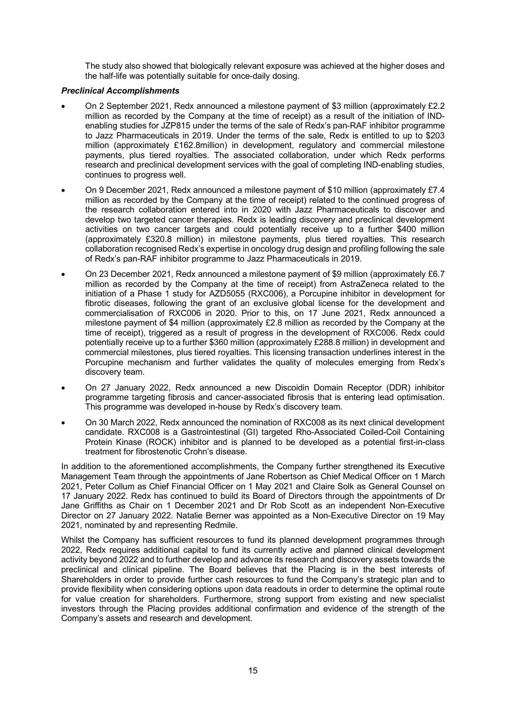The study also showed that biologically relevant exposure was achieved at the higher doses and the half-life was potentially suitable for once-daily dosing.

#### *Preclinical Accomplishments*

- On 2 September 2021, Redx announced a milestone payment of \$3 million (approximately £2.2 million as recorded by the Company at the time of receipt) as a result of the initiation of INDenabling studies for JZP815 under the terms of the sale of Redx's pan-RAF inhibitor programme to Jazz Pharmaceuticals in 2019. Under the terms of the sale, Redx is entitled to up to \$203 million (approximately £162.8million) in development, regulatory and commercial milestone payments, plus tiered royalties. The associated collaboration, under which Redx performs research and preclinical development services with the goal of completing IND-enabling studies, continues to progress well.
- On 9 December 2021, Redx announced a milestone payment of \$10 million (approximately £7.4 million as recorded by the Company at the time of receipt) related to the continued progress of the research collaboration entered into in 2020 with Jazz Pharmaceuticals to discover and develop two targeted cancer therapies. Redx is leading discovery and preclinical development activities on two cancer targets and could potentially receive up to a further \$400 million (approximately £320.8 million) in milestone payments, plus tiered royalties. This research collaboration recognised Redx's expertise in oncology drug design and profiling following the sale of Redx's pan-RAF inhibitor programme to Jazz Pharmaceuticals in 2019.
- On 23 December 2021, Redx announced a milestone payment of \$9 million (approximately £6.7 million as recorded by the Company at the time of receipt) from AstraZeneca related to the initiation of a Phase 1 study for AZD5055 (RXC006), a Porcupine inhibitor in development for fibrotic diseases, following the grant of an exclusive global license for the development and commercialisation of RXC006 in 2020. Prior to this, on 17 June 2021, Redx announced a milestone payment of \$4 million (approximately £2.8 million as recorded by the Company at the time of receipt), triggered as a result of progress in the development of RXC006. Redx could potentially receive up to a further \$360 million (approximately £288.8 million) in development and commercial milestones, plus tiered royalties. This licensing transaction underlines interest in the Porcupine mechanism and further validates the quality of molecules emerging from Redx's discovery team.
- On 27 January 2022, Redx announced a new Discoidin Domain Receptor (DDR) inhibitor programme targeting fibrosis and cancer-associated fibrosis that is entering lead optimisation. This programme was developed in-house by Redx's discovery team.
- On 30 March 2022, Redx announced the nomination of RXC008 as its next clinical development candidate. RXC008 is a Gastrointestinal (GI) targeted Rho-Associated Coiled-Coil Containing Protein Kinase (ROCK) inhibitor and is planned to be developed as a potential first-in-class treatment for fibrostenotic Crohn's disease.

In addition to the aforementioned accomplishments, the Company further strengthened its Executive Management Team through the appointments of Jane Robertson as Chief Medical Officer on 1 March 2021, Peter Collum as Chief Financial Officer on 1 May 2021 and Claire Solk as General Counsel on 17 January 2022. Redx has continued to build its Board of Directors through the appointments of Dr Jane Griffiths as Chair on 1 December 2021 and Dr Rob Scott as an independent Non-Executive Director on 27 January 2022. Natalie Berner was appointed as a Non-Executive Director on 19 May 2021, nominated by and representing Redmile.

Whilst the Company has sufficient resources to fund its planned development programmes through 2022, Redx requires additional capital to fund its currently active and planned clinical development activity beyond 2022 and to further develop and advance its research and discovery assets towards the preclinical and clinical pipeline. The Board believes that the Placing is in the best interests of Shareholders in order to provide further cash resources to fund the Company's strategic plan and to provide flexibility when considering options upon data readouts in order to determine the optimal route for value creation for shareholders. Furthermore, strong support from existing and new specialist investors through the Placing provides additional confirmation and evidence of the strength of the Company's assets and research and development.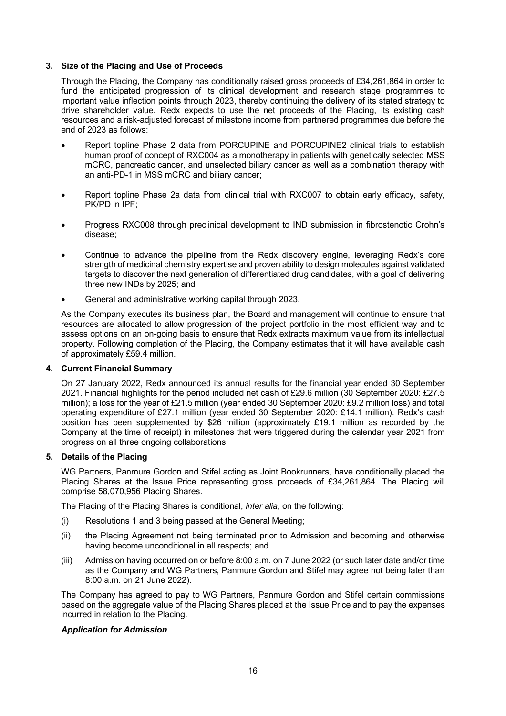#### **3. Size of the Placing and Use of Proceeds**

Through the Placing, the Company has conditionally raised gross proceeds of £34,261,864 in order to fund the anticipated progression of its clinical development and research stage programmes to important value inflection points through 2023, thereby continuing the delivery of its stated strategy to drive shareholder value. Redx expects to use the net proceeds of the Placing, its existing cash resources and a risk-adjusted forecast of milestone income from partnered programmes due before the end of 2023 as follows:

- Report topline Phase 2 data from PORCUPINE and PORCUPINE2 clinical trials to establish human proof of concept of RXC004 as a monotherapy in patients with genetically selected MSS mCRC, pancreatic cancer, and unselected biliary cancer as well as a combination therapy with an anti-PD-1 in MSS mCRC and biliary cancer;
- Report topline Phase 2a data from clinical trial with RXC007 to obtain early efficacy, safety, PK/PD in IPF;
- Progress RXC008 through preclinical development to IND submission in fibrostenotic Crohn's disease;
- Continue to advance the pipeline from the Redx discovery engine, leveraging Redx's core strength of medicinal chemistry expertise and proven ability to design molecules against validated targets to discover the next generation of differentiated drug candidates, with a goal of delivering three new INDs by 2025; and
- General and administrative working capital through 2023.

As the Company executes its business plan, the Board and management will continue to ensure that resources are allocated to allow progression of the project portfolio in the most efficient way and to assess options on an on-going basis to ensure that Redx extracts maximum value from its intellectual property. Following completion of the Placing, the Company estimates that it will have available cash of approximately £59.4 million.

#### **4. Current Financial Summary**

On 27 January 2022, Redx announced its annual results for the financial year ended 30 September 2021. Financial highlights for the period included net cash of £29.6 million (30 September 2020: £27.5 million); a loss for the year of £21.5 million (year ended 30 September 2020: £9.2 million loss) and total operating expenditure of £27.1 million (year ended 30 September 2020: £14.1 million). Redx's cash position has been supplemented by \$26 million (approximately £19.1 million as recorded by the Company at the time of receipt) in milestones that were triggered during the calendar year 2021 from progress on all three ongoing collaborations.

#### **5. Details of the Placing**

WG Partners, Panmure Gordon and Stifel acting as Joint Bookrunners, have conditionally placed the Placing Shares at the Issue Price representing gross proceeds of £34,261,864. The Placing will comprise 58,070,956 Placing Shares.

The Placing of the Placing Shares is conditional, *inter alia*, on the following:

- (i) Resolutions 1 and 3 being passed at the General Meeting;
- (ii) the Placing Agreement not being terminated prior to Admission and becoming and otherwise having become unconditional in all respects; and
- (iii) Admission having occurred on or before 8:00 a.m. on 7 June 2022 (or such later date and/or time as the Company and WG Partners, Panmure Gordon and Stifel may agree not being later than 8:00 a.m. on 21 June 2022).

The Company has agreed to pay to WG Partners, Panmure Gordon and Stifel certain commissions based on the aggregate value of the Placing Shares placed at the Issue Price and to pay the expenses incurred in relation to the Placing.

#### *Application for Admission*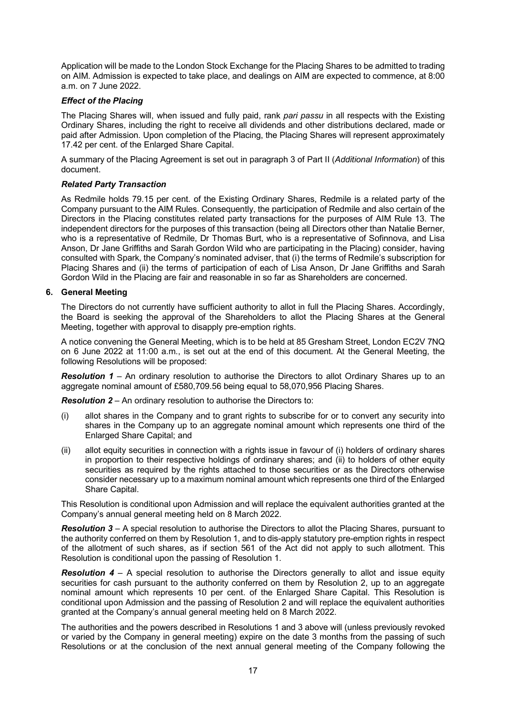Application will be made to the London Stock Exchange for the Placing Shares to be admitted to trading on AIM. Admission is expected to take place, and dealings on AIM are expected to commence, at 8:00 a.m. on 7 June 2022.

#### *Effect of the Placing*

The Placing Shares will, when issued and fully paid, rank *pari passu* in all respects with the Existing Ordinary Shares, including the right to receive all dividends and other distributions declared, made or paid after Admission. Upon completion of the Placing, the Placing Shares will represent approximately 17.42 per cent. of the Enlarged Share Capital.

A summary of the Placing Agreement is set out in paragraph [3](#page-20-0) of Part II (*Additional Information*) of this document.

#### *Related Party Transaction*

As Redmile holds 79.15 per cent. of the Existing Ordinary Shares, Redmile is a related party of the Company pursuant to the AIM Rules. Consequently, the participation of Redmile and also certain of the Directors in the Placing constitutes related party transactions for the purposes of AIM Rule 13. The independent directors for the purposes of this transaction (being all Directors other than Natalie Berner, who is a representative of Redmile, Dr Thomas Burt, who is a representative of Sofinnova, and Lisa Anson, Dr Jane Griffiths and Sarah Gordon Wild who are participating in the Placing) consider, having consulted with Spark, the Company's nominated adviser, that (i) the terms of Redmile's subscription for Placing Shares and (ii) the terms of participation of each of Lisa Anson, Dr Jane Griffiths and Sarah Gordon Wild in the Placing are fair and reasonable in so far as Shareholders are concerned.

#### **6. General Meeting**

The Directors do not currently have sufficient authority to allot in full the Placing Shares. Accordingly, the Board is seeking the approval of the Shareholders to allot the Placing Shares at the General Meeting, together with approval to disapply pre-emption rights.

A notice convening the General Meeting, which is to be held at 85 Gresham Street, London EC2V 7NQ on 6 June 2022 at 11:00 a.m., is set out at the end of this document. At the General Meeting, the following Resolutions will be proposed:

*Resolution 1* – An ordinary resolution to authorise the Directors to allot Ordinary Shares up to an aggregate nominal amount of £580,709.56 being equal to 58,070,956 Placing Shares.

*Resolution 2* – An ordinary resolution to authorise the Directors to:

- (i) allot shares in the Company and to grant rights to subscribe for or to convert any security into shares in the Company up to an aggregate nominal amount which represents one third of the Enlarged Share Capital; and
- (ii) allot equity securities in connection with a rights issue in favour of (i) holders of ordinary shares in proportion to their respective holdings of ordinary shares; and (ii) to holders of other equity securities as required by the rights attached to those securities or as the Directors otherwise consider necessary up to a maximum nominal amount which represents one third of the Enlarged Share Capital.

This Resolution is conditional upon Admission and will replace the equivalent authorities granted at the Company's annual general meeting held on 8 March 2022.

*Resolution 3* – A special resolution to authorise the Directors to allot the Placing Shares, pursuant to the authority conferred on them by Resolution 1, and to dis-apply statutory pre-emption rights in respect of the allotment of such shares, as if section 561 of the Act did not apply to such allotment. This Resolution is conditional upon the passing of Resolution 1.

*Resolution 4* – A special resolution to authorise the Directors generally to allot and issue equity securities for cash pursuant to the authority conferred on them by Resolution 2, up to an aggregate nominal amount which represents 10 per cent. of the Enlarged Share Capital. This Resolution is conditional upon Admission and the passing of Resolution 2 and will replace the equivalent authorities granted at the Company's annual general meeting held on 8 March 2022.

The authorities and the powers described in Resolutions 1 and 3 above will (unless previously revoked or varied by the Company in general meeting) expire on the date 3 months from the passing of such Resolutions or at the conclusion of the next annual general meeting of the Company following the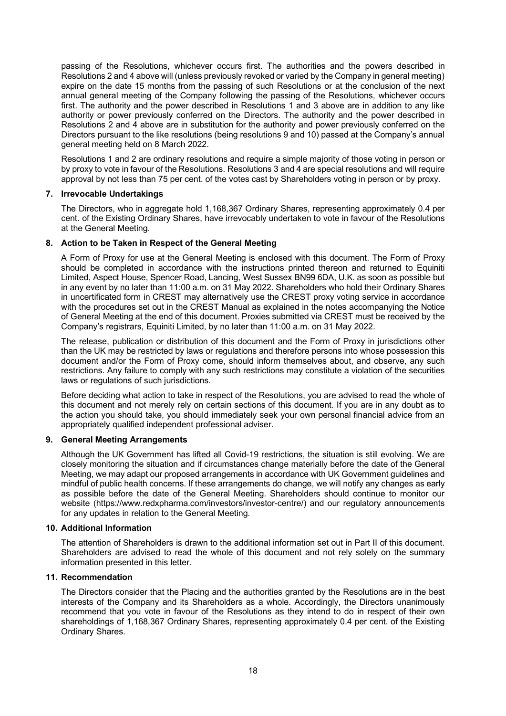passing of the Resolutions, whichever occurs first. The authorities and the powers described in Resolutions 2 and 4 above will (unless previously revoked or varied by the Company in general meeting) expire on the date 15 months from the passing of such Resolutions or at the conclusion of the next annual general meeting of the Company following the passing of the Resolutions, whichever occurs first. The authority and the power described in Resolutions 1 and 3 above are in addition to any like authority or power previously conferred on the Directors. The authority and the power described in Resolutions 2 and 4 above are in substitution for the authority and power previously conferred on the Directors pursuant to the like resolutions (being resolutions 9 and 10) passed at the Company's annual general meeting held on 8 March 2022.

Resolutions 1 and 2 are ordinary resolutions and require a simple majority of those voting in person or by proxy to vote in favour of the Resolutions. Resolutions 3 and 4 are special resolutions and will require approval by not less than 75 per cent. of the votes cast by Shareholders voting in person or by proxy.

#### **7. Irrevocable Undertakings**

The Directors, who in aggregate hold 1,168,367 Ordinary Shares, representing approximately 0.4 per cent. of the Existing Ordinary Shares, have irrevocably undertaken to vote in favour of the Resolutions at the General Meeting.

#### **8. Action to be Taken in Respect of the General Meeting**

A Form of Proxy for use at the General Meeting is enclosed with this document. The Form of Proxy should be completed in accordance with the instructions printed thereon and returned to Equiniti Limited, Aspect House, Spencer Road, Lancing, West Sussex BN99 6DA, U.K. as soon as possible but in any event by no later than 11:00 a.m. on 31 May 2022. Shareholders who hold their Ordinary Shares in uncertificated form in CREST may alternatively use the CREST proxy voting service in accordance with the procedures set out in the CREST Manual as explained in the notes accompanying the Notice of General Meeting at the end of this document. Proxies submitted via CREST must be received by the Company's registrars, Equiniti Limited, by no later than 11:00 a.m. on 31 May 2022.

The release, publication or distribution of this document and the Form of Proxy in jurisdictions other than the UK may be restricted by laws or regulations and therefore persons into whose possession this document and/or the Form of Proxy come, should inform themselves about, and observe, any such restrictions. Any failure to comply with any such restrictions may constitute a violation of the securities laws or regulations of such jurisdictions.

Before deciding what action to take in respect of the Resolutions, you are advised to read the whole of this document and not merely rely on certain sections of this document. If you are in any doubt as to the action you should take, you should immediately seek your own personal financial advice from an appropriately qualified independent professional adviser.

#### **9. General Meeting Arrangements**

Although the UK Government has lifted all Covid-19 restrictions, the situation is still evolving. We are closely monitoring the situation and if circumstances change materially before the date of the General Meeting, we may adapt our proposed arrangements in accordance with UK Government guidelines and mindful of public health concerns. If these arrangements do change, we will notify any changes as early as possible before the date of the General Meeting. Shareholders should continue to monitor our website (https://www.redxpharma.com/investors/investor-centre/) and our regulatory announcements for any updates in relation to the General Meeting.

#### **10. Additional Information**

The attention of Shareholders is drawn to the additional information set out in Part II of this document. Shareholders are advised to read the whole of this document and not rely solely on the summary information presented in this letter.

#### **11. Recommendation**

The Directors consider that the Placing and the authorities granted by the Resolutions are in the best interests of the Company and its Shareholders as a whole. Accordingly, the Directors unanimously recommend that you vote in favour of the Resolutions as they intend to do in respect of their own shareholdings of 1,168,367 Ordinary Shares, representing approximately 0.4 per cent. of the Existing Ordinary Shares.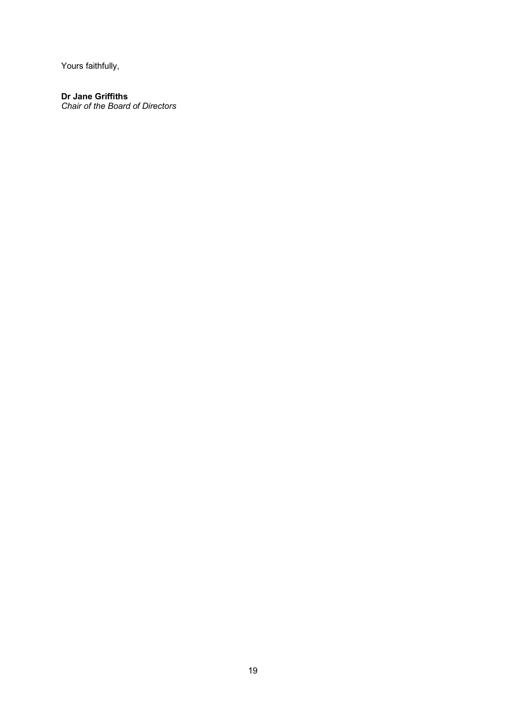Yours faithfully,

#### **Dr Jane Griffiths**

*Chair of the Board of Directors*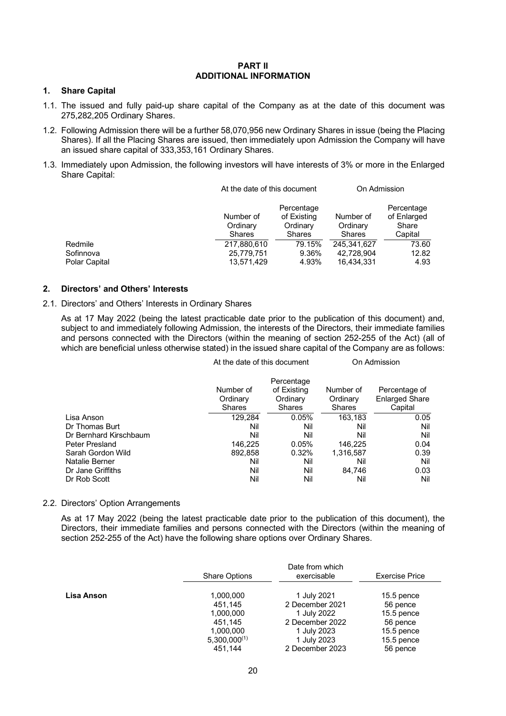#### **PART II ADDITIONAL INFORMATION**

#### <span id="page-19-0"></span>**1. Share Capital**

- 1.1. The issued and fully paid-up share capital of the Company as at the date of this document was 275,282,205 Ordinary Shares.
- 1.2. Following Admission there will be a further 58,070,956 new Ordinary Shares in issue (being the Placing Shares). If all the Placing Shares are issued, then immediately upon Admission the Company will have an issued share capital of 333,353,161 Ordinary Shares.
- 1.3. Immediately upon Admission, the following investors will have interests of 3% or more in the Enlarged Share Capital:

|                                       |                                         | At the date of this document                    |                                         | On Admission                                  |
|---------------------------------------|-----------------------------------------|-------------------------------------------------|-----------------------------------------|-----------------------------------------------|
|                                       | Number of<br>Ordinary<br>Shares         | Percentage<br>of Existing<br>Ordinary<br>Shares | Number of<br>Ordinary<br>Shares         | Percentage<br>of Enlarged<br>Share<br>Capital |
| Redmile<br>Sofinnova<br>Polar Capital | 217,880,610<br>25,779,751<br>13,571,429 | 79.15%<br>9.36%<br>4.93%                        | 245.341.627<br>42,728,904<br>16,434,331 | 73.60<br>12.82<br>4.93                        |

#### <span id="page-19-1"></span>**2. Directors' and Others' Interests**

#### 2.1. Directors' and Others' Interests in Ordinary Shares

As at 17 May 2022 (being the latest practicable date prior to the publication of this document) and, subject to and immediately following Admission, the interests of the Directors, their immediate families and persons connected with the Directors (within the meaning of section 252-255 of the Act) (all of which are beneficial unless otherwise stated) in the issued share capital of the Company are as follows:

| At the date of this document           |                                                        | On Admission                           |                                                   |
|----------------------------------------|--------------------------------------------------------|----------------------------------------|---------------------------------------------------|
| Number of<br>Ordinary<br><b>Shares</b> | Percentage<br>of Existing<br>Ordinary<br><b>Shares</b> | Number of<br>Ordinary<br><b>Shares</b> | Percentage of<br><b>Enlarged Share</b><br>Capital |
| 129.284                                | 0.05%                                                  | 163,183                                | 0.05                                              |
| Nil                                    | Nil                                                    | Nil                                    | Nil                                               |
| Nil                                    | Nil                                                    | Nil                                    | Nil                                               |
| 146.225                                | 0.05%                                                  | 146.225                                | 0.04                                              |
| 892.858                                | 0.32%                                                  | 1,316,587                              | 0.39                                              |
| Nil                                    | Nil                                                    | Nil                                    | Nil                                               |
| Nil                                    | Nil                                                    | 84.746                                 | 0.03                                              |
| Nil                                    | Nil                                                    | Nil                                    | Nil                                               |
|                                        |                                                        |                                        |                                                   |

#### 2.2. Directors' Option Arrangements

As at 17 May 2022 (being the latest practicable date prior to the publication of this document), the Directors, their immediate families and persons connected with the Directors (within the meaning of section 252-255 of the Act) have the following share options over Ordinary Shares.

|            | Date from which      |                 |                       |  |
|------------|----------------------|-----------------|-----------------------|--|
|            | <b>Share Options</b> | exercisable     | <b>Exercise Price</b> |  |
| Lisa Anson | 1,000,000            | 1 July 2021     | $15.5$ pence          |  |
|            | 451.145              | 2 December 2021 | 56 pence              |  |
|            | 1,000,000            | 1 July 2022     | $15.5$ pence          |  |
|            | 451.145              | 2 December 2022 | 56 pence              |  |
|            | 1,000,000            | 1 July 2023     | 15.5 pence            |  |
|            | $5,300,000^{(1)}$    | 1 July 2023     | $15.5$ pence          |  |
|            | 451.144              | 2 December 2023 | 56 pence              |  |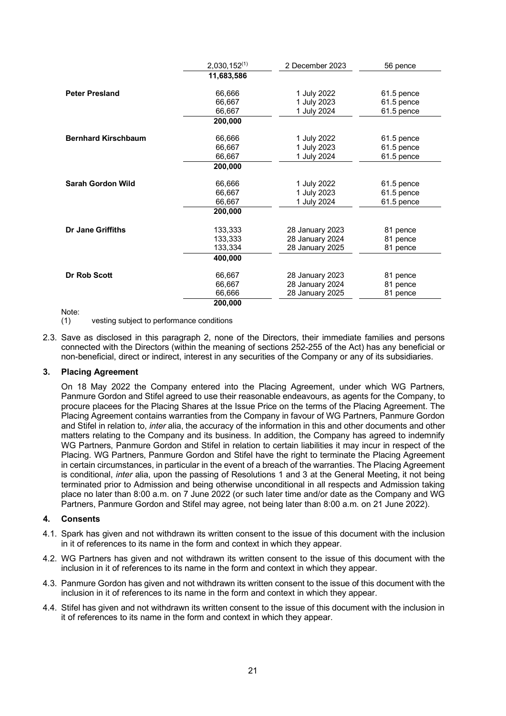|                            | $2,030,152^{(1)}$ | 2 December 2023 | 56 pence   |
|----------------------------|-------------------|-----------------|------------|
|                            | 11,683,586        |                 |            |
| <b>Peter Presland</b>      | 66,666            | 1 July 2022     | 61.5 pence |
|                            | 66,667            | 1 July 2023     | 61.5 pence |
|                            | 66,667            | 1 July 2024     | 61.5 pence |
|                            | 200,000           |                 |            |
| <b>Bernhard Kirschbaum</b> | 66,666            | 1 July 2022     | 61.5 pence |
|                            | 66,667            | 1 July 2023     | 61.5 pence |
|                            | 66,667            | 1 July 2024     | 61.5 pence |
|                            | 200,000           |                 |            |
| <b>Sarah Gordon Wild</b>   | 66,666            | 1 July 2022     | 61.5 pence |
|                            | 66,667            | 1 July 2023     | 61.5 pence |
|                            | 66,667            | 1 July 2024     | 61.5 pence |
|                            | 200,000           |                 |            |
| <b>Dr Jane Griffiths</b>   | 133,333           | 28 January 2023 | 81 pence   |
|                            | 133,333           | 28 January 2024 | 81 pence   |
|                            | 133,334           | 28 January 2025 | 81 pence   |
|                            | 400,000           |                 |            |
| Dr Rob Scott               | 66,667            | 28 January 2023 | 81 pence   |
|                            | 66,667            | 28 January 2024 | 81 pence   |
|                            | 66,666            | 28 January 2025 | 81 pence   |
|                            | 200,000           |                 |            |

Note:<br>(1)

vesting subject to performance conditions

2.3. Save as disclosed in this paragraph [2,](#page-19-1) none of the Directors, their immediate families and persons connected with the Directors (within the meaning of sections 252-255 of the Act) has any beneficial or non-beneficial, direct or indirect, interest in any securities of the Company or any of its subsidiaries.

#### **3. Placing Agreement**

<span id="page-20-0"></span>On 18 May 2022 the Company entered into the Placing Agreement, under which WG Partners, Panmure Gordon and Stifel agreed to use their reasonable endeavours, as agents for the Company, to procure placees for the Placing Shares at the Issue Price on the terms of the Placing Agreement. The Placing Agreement contains warranties from the Company in favour of WG Partners, Panmure Gordon and Stifel in relation to, *inter* alia, the accuracy of the information in this and other documents and other matters relating to the Company and its business. In addition, the Company has agreed to indemnify WG Partners, Panmure Gordon and Stifel in relation to certain liabilities it may incur in respect of the Placing. WG Partners, Panmure Gordon and Stifel have the right to terminate the Placing Agreement in certain circumstances, in particular in the event of a breach of the warranties. The Placing Agreement is conditional, *inter* alia, upon the passing of Resolutions 1 and 3 at the General Meeting, it not being terminated prior to Admission and being otherwise unconditional in all respects and Admission taking place no later than 8:00 a.m. on 7 June 2022 (or such later time and/or date as the Company and WG Partners, Panmure Gordon and Stifel may agree, not being later than 8:00 a.m. on 21 June 2022).

#### **4. Consents**

- 4.1. Spark has given and not withdrawn its written consent to the issue of this document with the inclusion in it of references to its name in the form and context in which they appear.
- 4.2. WG Partners has given and not withdrawn its written consent to the issue of this document with the inclusion in it of references to its name in the form and context in which they appear.
- 4.3. Panmure Gordon has given and not withdrawn its written consent to the issue of this document with the inclusion in it of references to its name in the form and context in which they appear.
- 4.4. Stifel has given and not withdrawn its written consent to the issue of this document with the inclusion in it of references to its name in the form and context in which they appear.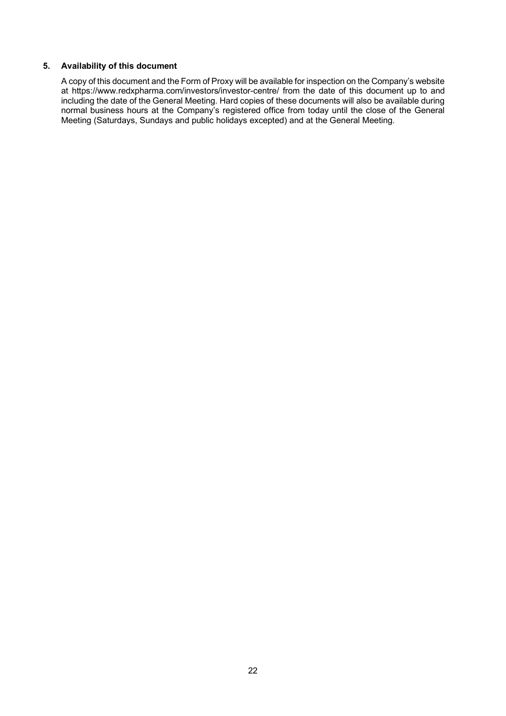#### **5. Availability of this document**

A copy of this document and the Form of Proxy will be available for inspection on the Company's website at https://www.redxpharma.com/investors/investor-centre/ from the date of this document up to and including the date of the General Meeting. Hard copies of these documents will also be available during normal business hours at the Company's registered office from today until the close of the General Meeting (Saturdays, Sundays and public holidays excepted) and at the General Meeting.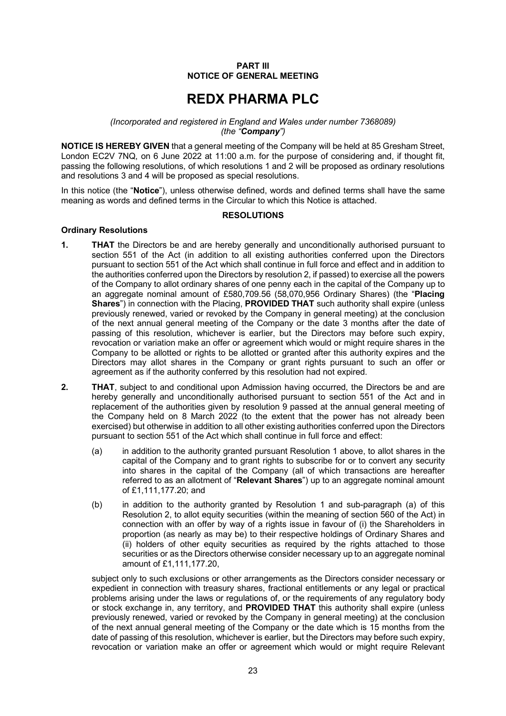#### **PART III NOTICE OF GENERAL MEETING**

# **REDX PHARMA PLC**

#### <span id="page-22-0"></span>*(Incorporated and registered in England and Wales under number 7368089) (the "Company")*

**NOTICE IS HEREBY GIVEN** that a general meeting of the Company will be held at 85 Gresham Street. London EC2V 7NQ, on 6 June 2022 at 11:00 a.m. for the purpose of considering and, if thought fit, passing the following resolutions, of which resolutions 1 and 2 will be proposed as ordinary resolutions and resolutions 3 and 4 will be proposed as special resolutions.

In this notice (the "**Notice**"), unless otherwise defined, words and defined terms shall have the same meaning as words and defined terms in the Circular to which this Notice is attached.

#### **RESOLUTIONS**

#### **Ordinary Resolutions**

- <span id="page-22-1"></span>**1. THAT** the Directors be and are hereby generally and unconditionally authorised pursuant to section 551 of the Act (in addition to all existing authorities conferred upon the Directors pursuant to section 551 of the Act which shall continue in full force and effect and in addition to the authorities conferred upon the Directors by resolution 2, if passed) to exercise all the powers of the Company to allot ordinary shares of one penny each in the capital of the Company up to an aggregate nominal amount of £580,709.56 (58,070,956 Ordinary Shares) (the "**Placing Shares**") in connection with the Placing, **PROVIDED THAT** such authority shall expire (unless previously renewed, varied or revoked by the Company in general meeting) at the conclusion of the next annual general meeting of the Company or the date 3 months after the date of passing of this resolution, whichever is earlier, but the Directors may before such expiry, revocation or variation make an offer or agreement which would or might require shares in the Company to be allotted or rights to be allotted or granted after this authority expires and the Directors may allot shares in the Company or grant rights pursuant to such an offer or agreement as if the authority conferred by this resolution had not expired.
- <span id="page-22-3"></span><span id="page-22-2"></span>**2. THAT**, subject to and conditional upon Admission having occurred, the Directors be and are hereby generally and unconditionally authorised pursuant to section 551 of the Act and in replacement of the authorities given by resolution 9 passed at the annual general meeting of the Company held on 8 March 2022 (to the extent that the power has not already been exercised) but otherwise in addition to all other existing authorities conferred upon the Directors pursuant to section 551 of the Act which shall continue in full force and effect:
	- (a) in addition to the authority granted pursuant Resolution 1 above, to allot shares in the capital of the Company and to grant rights to subscribe for or to convert any security into shares in the capital of the Company (all of which transactions are hereafter referred to as an allotment of "**Relevant Shares**") up to an aggregate nominal amount of £1,111,177.20; and
	- (b) in addition to the authority granted by Resolution [1](#page-22-1) and sub-paragraph [\(a\)](#page-22-2) of this Resolution [2,](#page-22-3) to allot equity securities (within the meaning of section 560 of the Act) in connection with an offer by way of a rights issue in favour of (i) the Shareholders in proportion (as nearly as may be) to their respective holdings of Ordinary Shares and (ii) holders of other equity securities as required by the rights attached to those securities or as the Directors otherwise consider necessary up to an aggregate nominal amount of £1,111,177.20,

subject only to such exclusions or other arrangements as the Directors consider necessary or expedient in connection with treasury shares, fractional entitlements or any legal or practical problems arising under the laws or regulations of, or the requirements of any regulatory body or stock exchange in, any territory, and **PROVIDED THAT** this authority shall expire (unless previously renewed, varied or revoked by the Company in general meeting) at the conclusion of the next annual general meeting of the Company or the date which is 15 months from the date of passing of this resolution, whichever is earlier, but the Directors may before such expiry, revocation or variation make an offer or agreement which would or might require Relevant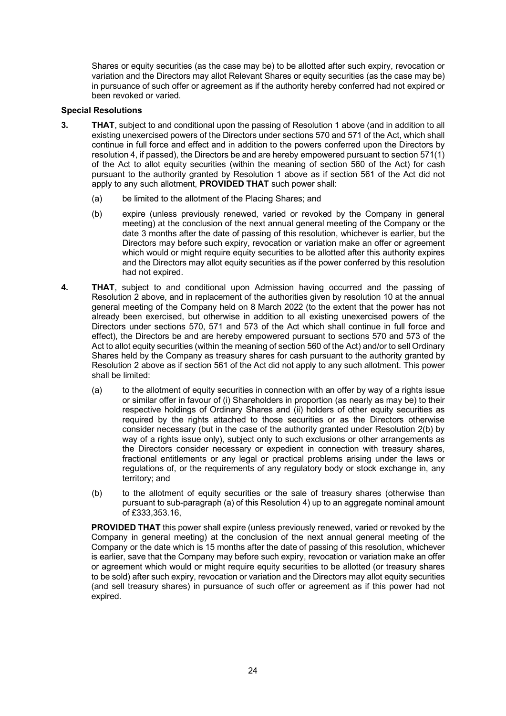Shares or equity securities (as the case may be) to be allotted after such expiry, revocation or variation and the Directors may allot Relevant Shares or equity securities (as the case may be) in pursuance of such offer or agreement as if the authority hereby conferred had not expired or been revoked or varied.

#### **Special Resolutions**

- **3. THAT**, subject to and conditional upon the passing of Resolution 1 above (and in addition to all existing unexercised powers of the Directors under sections 570 and 571 of the Act, which shall continue in full force and effect and in addition to the powers conferred upon the Directors by resolution 4, if passed), the Directors be and are hereby empowered pursuant to section 571(1) of the Act to allot equity securities (within the meaning of section 560 of the Act) for cash pursuant to the authority granted by Resolution 1 above as if section 561 of the Act did not apply to any such allotment, **PROVIDED THAT** such power shall:
	- (a) be limited to the allotment of the Placing Shares; and
	- (b) expire (unless previously renewed, varied or revoked by the Company in general meeting) at the conclusion of the next annual general meeting of the Company or the date 3 months after the date of passing of this resolution, whichever is earlier, but the Directors may before such expiry, revocation or variation make an offer or agreement which would or might require equity securities to be allotted after this authority expires and the Directors may allot equity securities as if the power conferred by this resolution had not expired.
- <span id="page-23-1"></span><span id="page-23-0"></span>**4. THAT**, subject to and conditional upon Admission having occurred and the passing of Resolution 2 above, and in replacement of the authorities given by resolution 10 at the annual general meeting of the Company held on 8 March 2022 (to the extent that the power has not already been exercised, but otherwise in addition to all existing unexercised powers of the Directors under sections 570, 571 and 573 of the Act which shall continue in full force and effect), the Directors be and are hereby empowered pursuant to sections 570 and 573 of the Act to allot equity securities (within the meaning of section 560 of the Act) and/or to sell Ordinary Shares held by the Company as treasury shares for cash pursuant to the authority granted by Resolution 2 above as if section 561 of the Act did not apply to any such allotment. This power shall be limited:
	- (a) to the allotment of equity securities in connection with an offer by way of a rights issue or similar offer in favour of (i) Shareholders in proportion (as nearly as may be) to their respective holdings of Ordinary Shares and (ii) holders of other equity securities as required by the rights attached to those securities or as the Directors otherwise consider necessary (but in the case of the authority granted under Resolution 2(b) by way of a rights issue only), subject only to such exclusions or other arrangements as the Directors consider necessary or expedient in connection with treasury shares, fractional entitlements or any legal or practical problems arising under the laws or regulations of, or the requirements of any regulatory body or stock exchange in, any territory; and
	- (b) to the allotment of equity securities or the sale of treasury shares (otherwise than pursuant to sub-paragraph [\(a\)](#page-23-0) of this Resolution [4\)](#page-23-1) up to an aggregate nominal amount of £333,353.16,

**PROVIDED THAT** this power shall expire (unless previously renewed, varied or revoked by the Company in general meeting) at the conclusion of the next annual general meeting of the Company or the date which is 15 months after the date of passing of this resolution, whichever is earlier, save that the Company may before such expiry, revocation or variation make an offer or agreement which would or might require equity securities to be allotted (or treasury shares to be sold) after such expiry, revocation or variation and the Directors may allot equity securities (and sell treasury shares) in pursuance of such offer or agreement as if this power had not expired.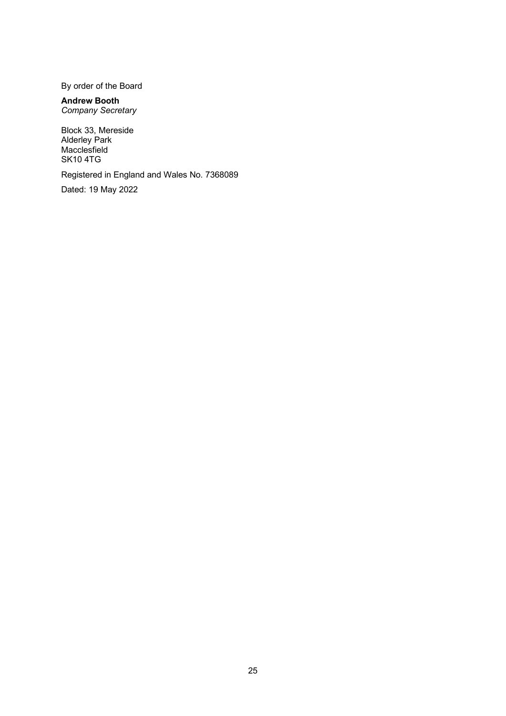By order of the Board

#### **Andrew Booth** *Company Secretary*

Block 33, Mereside Alderley Park Macclesfield SK10 4TG

Registered in England and Wales No. 7368089

Dated: 19 May 2022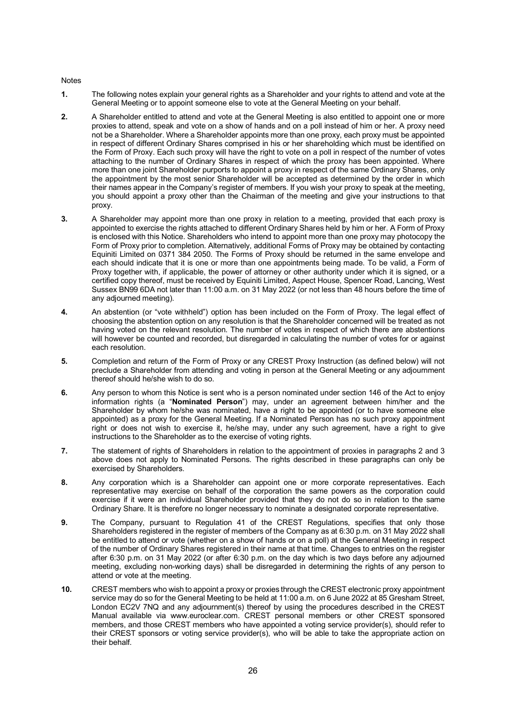#### Notes

- **1.** The following notes explain your general rights as a Shareholder and your rights to attend and vote at the General Meeting or to appoint someone else to vote at the General Meeting on your behalf.
- <span id="page-25-0"></span>**2.** A Shareholder entitled to attend and vote at the General Meeting is also entitled to appoint one or more proxies to attend, speak and vote on a show of hands and on a poll instead of him or her. A proxy need not be a Shareholder. Where a Shareholder appoints more than one proxy, each proxy must be appointed in respect of different Ordinary Shares comprised in his or her shareholding which must be identified on the Form of Proxy. Each such proxy will have the right to vote on a poll in respect of the number of votes attaching to the number of Ordinary Shares in respect of which the proxy has been appointed. Where more than one joint Shareholder purports to appoint a proxy in respect of the same Ordinary Shares, only the appointment by the most senior Shareholder will be accepted as determined by the order in which their names appear in the Company's register of members. If you wish your proxy to speak at the meeting, you should appoint a proxy other than the Chairman of the meeting and give your instructions to that proxy.
- <span id="page-25-1"></span>**3.** A Shareholder may appoint more than one proxy in relation to a meeting, provided that each proxy is appointed to exercise the rights attached to different Ordinary Shares held by him or her. A Form of Proxy is enclosed with this Notice. Shareholders who intend to appoint more than one proxy may photocopy the Form of Proxy prior to completion. Alternatively, additional Forms of Proxy may be obtained by contacting Equiniti Limited on 0371 384 2050. The Forms of Proxy should be returned in the same envelope and each should indicate that it is one or more than one appointments being made. To be valid, a Form of Proxy together with, if applicable, the power of attorney or other authority under which it is signed, or a certified copy thereof, must be received by Equiniti Limited, Aspect House, Spencer Road, Lancing, West Sussex BN99 6DA not later than 11:00 a.m. on 31 May 2022 (or not less than 48 hours before the time of any adjourned meeting).
- **4.** An abstention (or "vote withheld") option has been included on the Form of Proxy. The legal effect of choosing the abstention option on any resolution is that the Shareholder concerned will be treated as not having voted on the relevant resolution. The number of votes in respect of which there are abstentions will however be counted and recorded, but disregarded in calculating the number of votes for or against each resolution.
- **5.** Completion and return of the Form of Proxy or any CREST Proxy Instruction (as defined below) will not preclude a Shareholder from attending and voting in person at the General Meeting or any adjournment thereof should he/she wish to do so.
- **6.** Any person to whom this Notice is sent who is a person nominated under section 146 of the Act to enjoy information rights (a "**Nominated Person**") may, under an agreement between him/her and the Shareholder by whom he/she was nominated, have a right to be appointed (or to have someone else appointed) as a proxy for the General Meeting. If a Nominated Person has no such proxy appointment right or does not wish to exercise it, he/she may, under any such agreement, have a right to give instructions to the Shareholder as to the exercise of voting rights.
- **7.** The statement of rights of Shareholders in relation to the appointment of proxies in paragraphs [2](#page-25-0) and [3](#page-25-1) above does not apply to Nominated Persons. The rights described in these paragraphs can only be exercised by Shareholders.
- **8.** Any corporation which is a Shareholder can appoint one or more corporate representatives. Each representative may exercise on behalf of the corporation the same powers as the corporation could exercise if it were an individual Shareholder provided that they do not do so in relation to the same Ordinary Share. It is therefore no longer necessary to nominate a designated corporate representative.
- **9.** The Company, pursuant to Regulation 41 of the CREST Regulations, specifies that only those Shareholders registered in the register of members of the Company as at 6:30 p.m. on 31 May 2022 shall be entitled to attend or vote (whether on a show of hands or on a poll) at the General Meeting in respect of the number of Ordinary Shares registered in their name at that time. Changes to entries on the register after 6:30 p.m. on 31 May 2022 (or after 6:30 p.m. on the day which is two days before any adjourned meeting, excluding non-working days) shall be disregarded in determining the rights of any person to attend or vote at the meeting.
- **10.** CREST members who wish to appoint a proxy or proxies through the CREST electronic proxy appointment service may do so for the General Meeting to be held at 11:00 a.m. on 6 June 2022 at 85 Gresham Street, London EC2V 7NQ and any adjournment(s) thereof by using the procedures described in the CREST Manual available via www.euroclear.com. CREST personal members or other CREST sponsored members, and those CREST members who have appointed a voting service provider(s), should refer to their CREST sponsors or voting service provider(s), who will be able to take the appropriate action on their behalf.